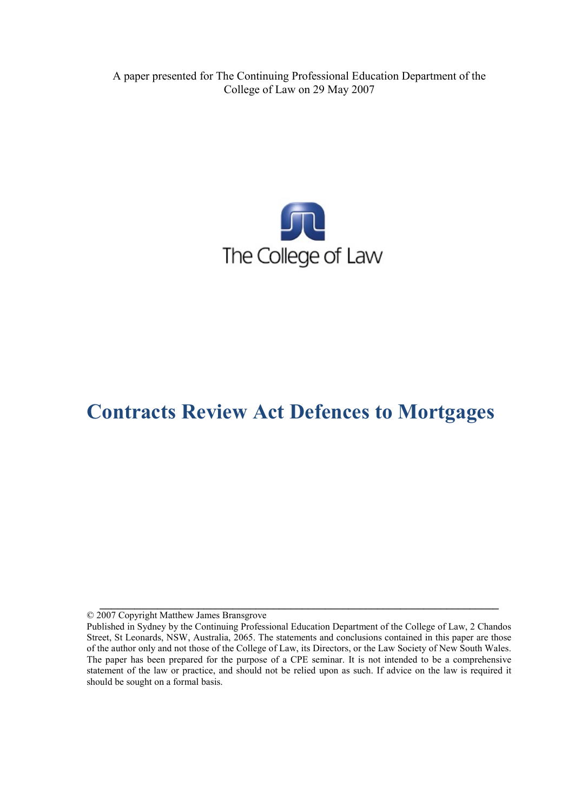A paper presented for The Continuing Professional Education Department of the College of Law on 29 May 2007



# **Contracts Review Act Defences to Mortgages**

© 2007 Copyright Matthew James Bransgrove

**\_\_\_\_\_\_\_\_\_\_\_\_\_\_\_\_\_\_\_\_\_\_\_\_\_\_\_\_\_\_\_\_\_\_\_\_\_\_\_\_\_\_\_\_\_\_\_\_\_\_\_\_\_\_\_\_\_\_\_\_\_\_\_\_\_\_\_\_\_**

Published in Sydney by the Continuing Professional Education Department of the College of Law, 2 Chandos Street, St Leonards, NSW, Australia, 2065. The statements and conclusions contained in this paper are those of the author only and not those of the College of Law, its Directors, or the Law Society of New South Wales. The paper has been prepared for the purpose of a CPE seminar. It is not intended to be a comprehensive statement of the law or practice, and should not be relied upon as such. If advice on the law is required it should be sought on a formal basis.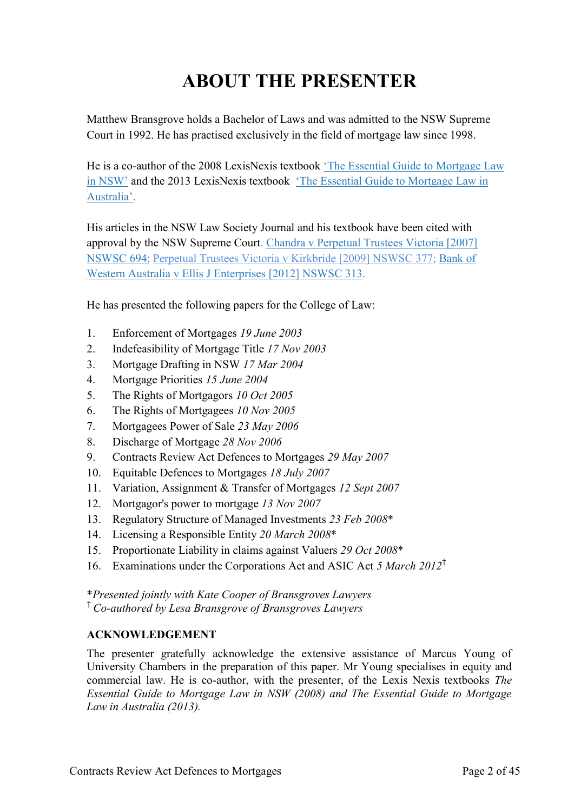# **ABOUT THE PRESENTER**

Matthew Bransgrove holds a Bachelor of Laws and was admitted to the NSW Supreme Court in 1992. He has practised exclusively in the field of mortgage law since 1998.

He is a co-author of the 2008 LexisNexis textbook ['The Essential Guide to Mortgage Law](http://www.bransgroves.com.au/documents/PDF/Book/OrderForm3LR.pdf) [in NSW'](http://www.bransgroves.com.au/documents/PDF/Book/OrderForm3LR.pdf) and the 2013 LexisNexis textbook ['The Essential Guide to Mortgage Law in](http://www.bransgroves.com.au/documents/PDF/Book/EGMLA2ndEdition.pdf) [Australia'.](http://www.bransgroves.com.au/documents/PDF/Book/EGMLA2ndEdition.pdf)

His articles in the NSW Law Society Journal and his textbook have been cited with approval by the NSW Supreme Court. [Chandra v Perpetual Trustees Victoria \[2007\]](http://www.austlii.edu.au/au/cases/nsw/NSWSC/2007/694.html) [NSWSC 694;](http://www.austlii.edu.au/au/cases/nsw/NSWSC/2007/694.html) [Perpetual Trustees Victoria v Kirkbride \[2009\] NSWSC 377;](http://www.austlii.edu.au/au/cases/nsw/NSWSC/2009/377.html) [Bank](http://www.austlii.edu.au/au/cases/nsw/NSWSC/2012/313.html) of [Western Australia v Ellis J Enterprises](http://www.austlii.edu.au/au/cases/nsw/NSWSC/2012/313.html) [2012] NSWSC 313.

He has presented the following papers for the College of Law:

- 1. Enforcement of Mortgages *19 June 2003*
- 2. Indefeasibility of Mortgage Title *17 Nov 2003*
- 3. Mortgage Drafting in NSW *17 Mar 2004*
- 4. Mortgage Priorities *15 June 2004*
- 5. The Rights of Mortgagors *10 Oct 2005*
- 6. The Rights of Mortgagees *10 Nov 2005*
- 7. Mortgagees Power of Sale *23 May 2006*
- 8. Discharge of Mortgage *28 Nov 2006*
- 9. Contracts Review Act Defences to Mortgages *29 May 2007*
- 10. Equitable Defences to Mortgages *18 July 2007*
- 11. Variation, Assignment & Transfer of Mortgages *12 Sept 2007*
- 12. Mortgagor's power to mortgage *13 Nov 2007*
- 13. Regulatory Structure of Managed Investments *23 Feb 2008*\*
- 14. Licensing a Responsible Entity *20 March 2008*\*
- 15. Proportionate Liability in claims against Valuers *29 Oct 2008*\*
- 16. Examinations under the Corporations Act and ASIC Act *5 March 2012*†

\**Presented jointly with Kate Cooper of Bransgroves Lawyers* † *Co-authored by Lesa Bransgrove of Bransgroves Lawyers*

#### **ACKNOWLEDGEMENT**

The presenter gratefully acknowledge the extensive assistance of Marcus Young of University Chambers in the preparation of this paper. Mr Young specialises in equity and commercial law. He is co-author, with the presenter, of the Lexis Nexis textbooks *The Essential Guide to Mortgage Law in NSW (2008) and The Essential Guide to Mortgage Law in Australia (2013).*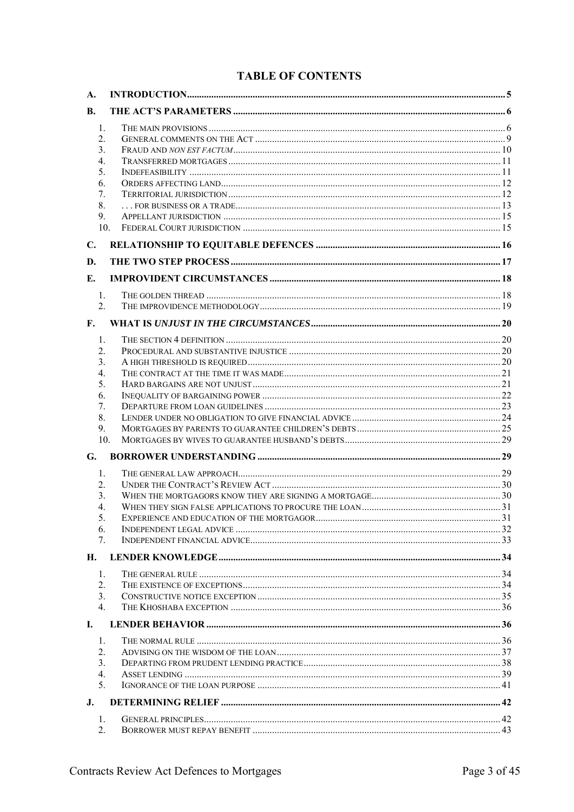# **TABLE OF CONTENTS**

| A.                        |  |
|---------------------------|--|
| <b>B.</b>                 |  |
| 1.                        |  |
| 2.                        |  |
| 3.                        |  |
| 4.                        |  |
| 5.                        |  |
| 6.                        |  |
| 7.                        |  |
| 8.                        |  |
| 9.<br>10.                 |  |
|                           |  |
| $\mathbf{C}$ .            |  |
| D.                        |  |
| Е.                        |  |
| $\mathbf{1}$ .            |  |
| 2.                        |  |
| F.                        |  |
|                           |  |
| 1.<br>2.                  |  |
| 3.                        |  |
| 4.                        |  |
| 5.                        |  |
| 6.                        |  |
| 7.                        |  |
| 8.                        |  |
| 9.                        |  |
| 10 <sub>1</sub>           |  |
| G.                        |  |
| 1.                        |  |
| 2.                        |  |
| 3.                        |  |
| 4.                        |  |
| 5.                        |  |
| 6.                        |  |
| 7.                        |  |
| Н.                        |  |
| 1.                        |  |
| 2.                        |  |
| 3 <sub>1</sub>            |  |
| $4_{\cdot}$               |  |
| $\mathbf{I}$ .            |  |
| 1.                        |  |
| $\overline{2}$ .          |  |
| 3.                        |  |
| 4.                        |  |
| 5 <sub>1</sub>            |  |
| $\mathbf{J}_{\mathbf{r}}$ |  |
| 1.                        |  |
| 2.                        |  |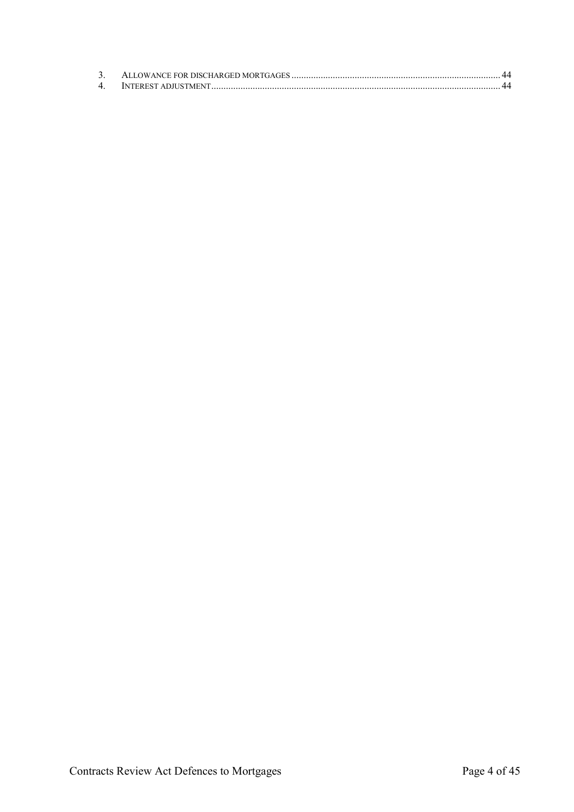| 4 |  |
|---|--|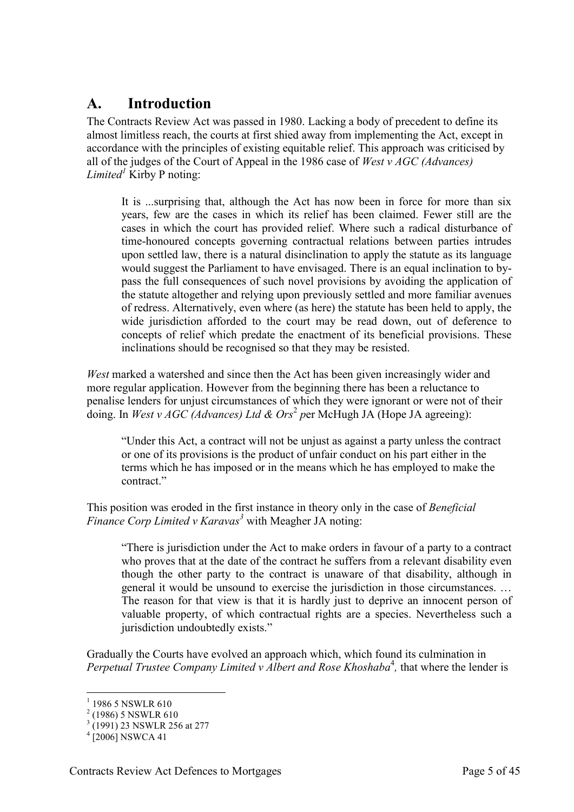# <span id="page-4-0"></span>**A. Introduction**

The Contracts Review Act was passed in 1980. Lacking a body of precedent to define its almost limitless reach, the courts at first shied away from implementing the Act, except in accordance with the principles of existing equitable relief. This approach was criticised by all of the judges of the Court of Appeal in the 1986 case of *West v AGC (Advances) Limited<sup>1</sup>* Kirby P noting:

It is ...surprising that, although the Act has now been in force for more than six years, few are the cases in which its relief has been claimed. Fewer still are the cases in which the court has provided relief. Where such a radical disturbance of time-honoured concepts governing contractual relations between parties intrudes upon settled law, there is a natural disinclination to apply the statute as its language would suggest the Parliament to have envisaged. There is an equal inclination to bypass the full consequences of such novel provisions by avoiding the application of the statute altogether and relying upon previously settled and more familiar avenues of redress. Alternatively, even where (as here) the statute has been held to apply, the wide jurisdiction afforded to the court may be read down, out of deference to concepts of relief which predate the enactment of its beneficial provisions. These inclinations should be recognised so that they may be resisted.

*West* marked a watershed and since then the Act has been given increasingly wider and more regular application. However from the beginning there has been a reluctance to penalise lenders for unjust circumstances of which they were ignorant or were not of their doing. In *West v AGC (Advances) Ltd & Ors<sup>2</sup> per McHugh JA (Hope JA agreeing)*:

"Under this Act, a contract will not be unjust as against a party unless the contract or one of its provisions is the product of unfair conduct on his part either in the terms which he has imposed or in the means which he has employed to make the contract."

This position was eroded in the first instance in theory only in the case of *Beneficial Finance Corp Limited v Karavas<sup>3</sup>* with Meagher JA noting:

"There is jurisdiction under the Act to make orders in favour of a party to a contract who proves that at the date of the contract he suffers from a relevant disability even though the other party to the contract is unaware of that disability, although in general it would be unsound to exercise the jurisdiction in those circumstances. … The reason for that view is that it is hardly just to deprive an innocent person of valuable property, of which contractual rights are a species. Nevertheless such a jurisdiction undoubtedly exists."

Gradually the Courts have evolved an approach which, which found its culmination in Perpetual Trustee Company Limited v Albert and Rose Khoshaba<sup>4</sup>, that where the lender is

<sup>&</sup>lt;sup>1</sup> 1986 5 NSWLR 610

 $2(1986)$  5 NSWLR 610

<sup>3</sup> (1991) 23 NSWLR 256 at 277

 $^{4}$  [2006] NSWCA 41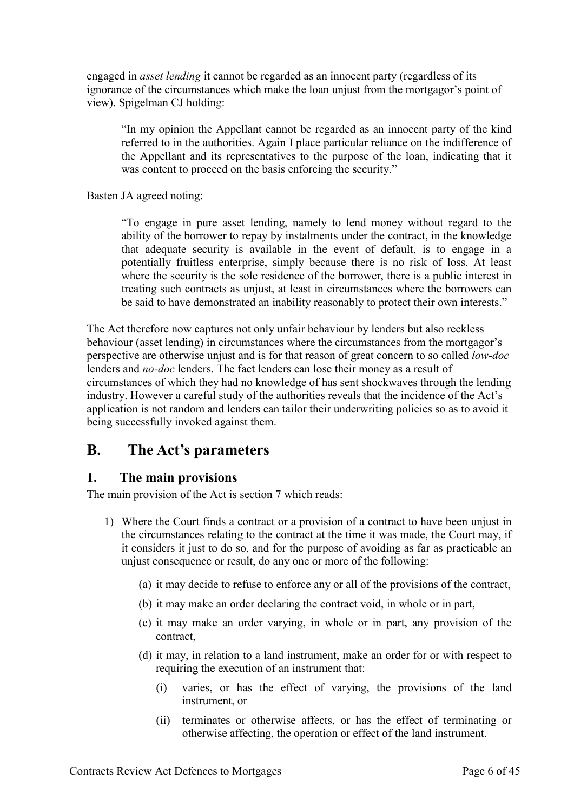engaged in *asset lending* it cannot be regarded as an innocent party (regardless of its ignorance of the circumstances which make the loan unjust from the mortgagor's point of view). Spigelman CJ holding:

"In my opinion the Appellant cannot be regarded as an innocent party of the kind referred to in the authorities. Again I place particular reliance on the indifference of the Appellant and its representatives to the purpose of the loan, indicating that it was content to proceed on the basis enforcing the security."

Basten JA agreed noting:

"To engage in pure asset lending, namely to lend money without regard to the ability of the borrower to repay by instalments under the contract, in the knowledge that adequate security is available in the event of default, is to engage in a potentially fruitless enterprise, simply because there is no risk of loss. At least where the security is the sole residence of the borrower, there is a public interest in treating such contracts as unjust, at least in circumstances where the borrowers can be said to have demonstrated an inability reasonably to protect their own interests."

The Act therefore now captures not only unfair behaviour by lenders but also reckless behaviour (asset lending) in circumstances where the circumstances from the mortgagor's perspective are otherwise unjust and is for that reason of great concern to so called *low-doc* lenders and *no-doc* lenders. The fact lenders can lose their money as a result of circumstances of which they had no knowledge of has sent shockwaves through the lending industry. However a careful study of the authorities reveals that the incidence of the Act's application is not random and lenders can tailor their underwriting policies so as to avoid it being successfully invoked against them.

# <span id="page-5-0"></span>**B. The Act's parameters**

# <span id="page-5-1"></span>**1. The main provisions**

The main provision of the Act is section 7 which reads:

- 1) Where the Court finds a contract or a provision of a contract to have been unjust in the circumstances relating to the contract at the time it was made, the Court may, if it considers it just to do so, and for the purpose of avoiding as far as practicable an unjust consequence or result, do any one or more of the following:
	- (a) it may decide to refuse to enforce any or all of the provisions of the contract,
	- (b) it may make an order declaring the contract void, in whole or in part,
	- (c) it may make an order varying, in whole or in part, any provision of the contract,
	- (d) it may, in relation to a land instrument, make an order for or with respect to requiring the execution of an instrument that:
		- (i) varies, or has the effect of varying, the provisions of the land instrument, or
		- (ii) terminates or otherwise affects, or has the effect of terminating or otherwise affecting, the operation or effect of the land instrument.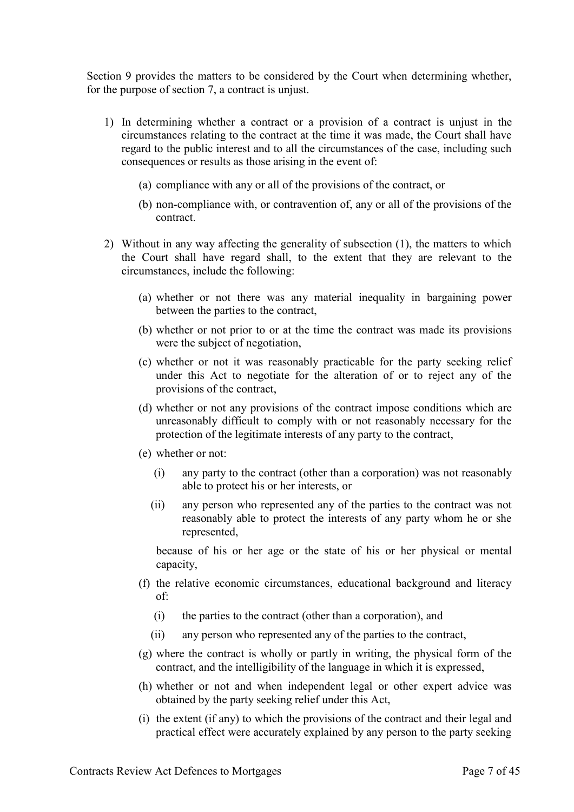Section 9 provides the matters to be considered by the Court when determining whether, for the purpose of section 7, a contract is unjust.

- 1) In determining whether a contract or a provision of a contract is unjust in the circumstances relating to the contract at the time it was made, the Court shall have regard to the public interest and to all the circumstances of the case, including such consequences or results as those arising in the event of:
	- (a) compliance with any or all of the provisions of the contract, or
	- (b) non-compliance with, or contravention of, any or all of the provisions of the contract.
- 2) Without in any way affecting the generality of subsection (1), the matters to which the Court shall have regard shall, to the extent that they are relevant to the circumstances, include the following:
	- (a) whether or not there was any material inequality in bargaining power between the parties to the contract,
	- (b) whether or not prior to or at the time the contract was made its provisions were the subject of negotiation,
	- (c) whether or not it was reasonably practicable for the party seeking relief under this Act to negotiate for the alteration of or to reject any of the provisions of the contract,
	- (d) whether or not any provisions of the contract impose conditions which are unreasonably difficult to comply with or not reasonably necessary for the protection of the legitimate interests of any party to the contract,
	- (e) whether or not:
		- (i) any party to the contract (other than a corporation) was not reasonably able to protect his or her interests, or
		- (ii) any person who represented any of the parties to the contract was not reasonably able to protect the interests of any party whom he or she represented,

because of his or her age or the state of his or her physical or mental capacity,

- (f) the relative economic circumstances, educational background and literacy of:
	- (i) the parties to the contract (other than a corporation), and
	- (ii) any person who represented any of the parties to the contract,
- (g) where the contract is wholly or partly in writing, the physical form of the contract, and the intelligibility of the language in which it is expressed,
- (h) whether or not and when independent legal or other expert advice was obtained by the party seeking relief under this Act,
- (i) the extent (if any) to which the provisions of the contract and their legal and practical effect were accurately explained by any person to the party seeking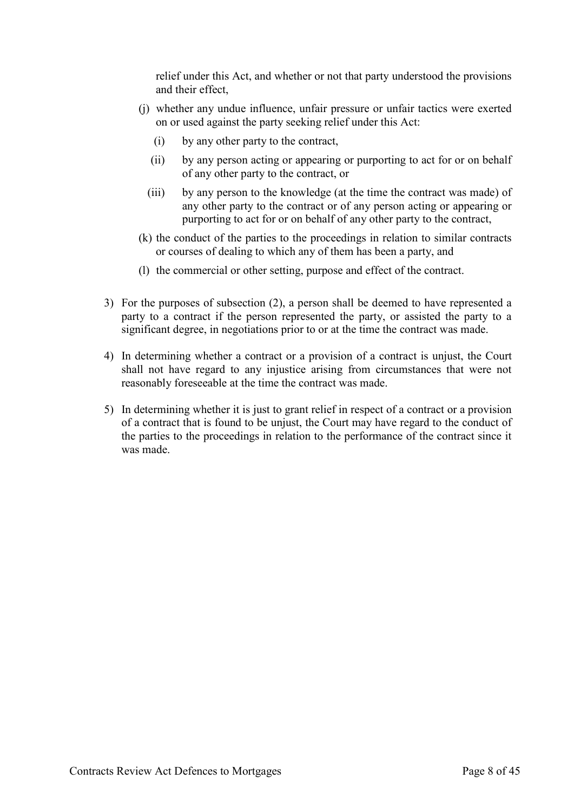relief under this Act, and whether or not that party understood the provisions and their effect,

- (j) whether any undue influence, unfair pressure or unfair tactics were exerted on or used against the party seeking relief under this Act:
	- (i) by any other party to the contract,
	- (ii) by any person acting or appearing or purporting to act for or on behalf of any other party to the contract, or
	- (iii) by any person to the knowledge (at the time the contract was made) of any other party to the contract or of any person acting or appearing or purporting to act for or on behalf of any other party to the contract,
- (k) the conduct of the parties to the proceedings in relation to similar contracts or courses of dealing to which any of them has been a party, and
- (l) the commercial or other setting, purpose and effect of the contract.
- 3) For the purposes of subsection (2), a person shall be deemed to have represented a party to a contract if the person represented the party, or assisted the party to a significant degree, in negotiations prior to or at the time the contract was made.
- 4) In determining whether a contract or a provision of a contract is unjust, the Court shall not have regard to any injustice arising from circumstances that were not reasonably foreseeable at the time the contract was made.
- 5) In determining whether it is just to grant relief in respect of a contract or a provision of a contract that is found to be unjust, the Court may have regard to the conduct of the parties to the proceedings in relation to the performance of the contract since it was made.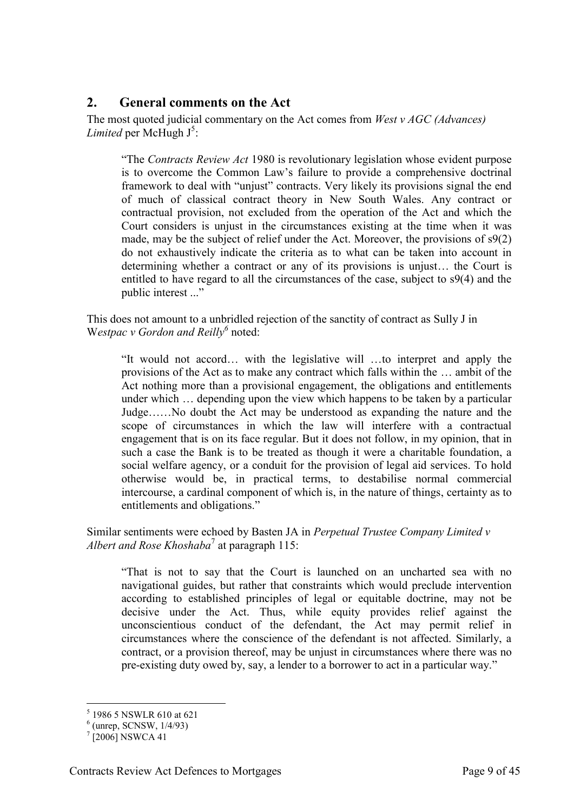### <span id="page-8-0"></span>**2. General comments on the Act**

The most quoted judicial commentary on the Act comes from *West v AGC (Advances)*  Limited per McHugh J<sup>5</sup>:

"The *Contracts Review Act* 1980 is revolutionary legislation whose evident purpose is to overcome the Common Law's failure to provide a comprehensive doctrinal framework to deal with "unjust" contracts. Very likely its provisions signal the end of much of classical contract theory in New South Wales. Any contract or contractual provision, not excluded from the operation of the Act and which the Court considers is unjust in the circumstances existing at the time when it was made, may be the subject of relief under the Act. Moreover, the provisions of s9(2) do not exhaustively indicate the criteria as to what can be taken into account in determining whether a contract or any of its provisions is unjust… the Court is entitled to have regard to all the circumstances of the case, subject to s9(4) and the public interest ..."

This does not amount to a unbridled rejection of the sanctity of contract as Sully J in Westpac v Gordon and Reilly<sup>6</sup> noted:

"It would not accord… with the legislative will …to interpret and apply the provisions of the Act as to make any contract which falls within the … ambit of the Act nothing more than a provisional engagement, the obligations and entitlements under which … depending upon the view which happens to be taken by a particular Judge……No doubt the Act may be understood as expanding the nature and the scope of circumstances in which the law will interfere with a contractual engagement that is on its face regular. But it does not follow, in my opinion, that in such a case the Bank is to be treated as though it were a charitable foundation, a social welfare agency, or a conduit for the provision of legal aid services. To hold otherwise would be, in practical terms, to destabilise normal commercial intercourse, a cardinal component of which is, in the nature of things, certainty as to entitlements and obligations."

Similar sentiments were echoed by Basten JA in *Perpetual Trustee Company Limited v Albert and Rose Khoshaba*<sup>7</sup> at paragraph 115:

"That is not to say that the Court is launched on an uncharted sea with no navigational guides, but rather that constraints which would preclude intervention according to established principles of legal or equitable doctrine, may not be decisive under the Act. Thus, while equity provides relief against the unconscientious conduct of the defendant, the Act may permit relief in circumstances where the conscience of the defendant is not affected. Similarly, a contract, or a provision thereof, may be unjust in circumstances where there was no pre-existing duty owed by, say, a lender to a borrower to act in a particular way."

 5 1986 5 NSWLR 610 at 621

 $<sup>6</sup>$  (unrep, SCNSW,  $1/4/93$ )</sup>

 $^{7}$  [2006] NSWCA 41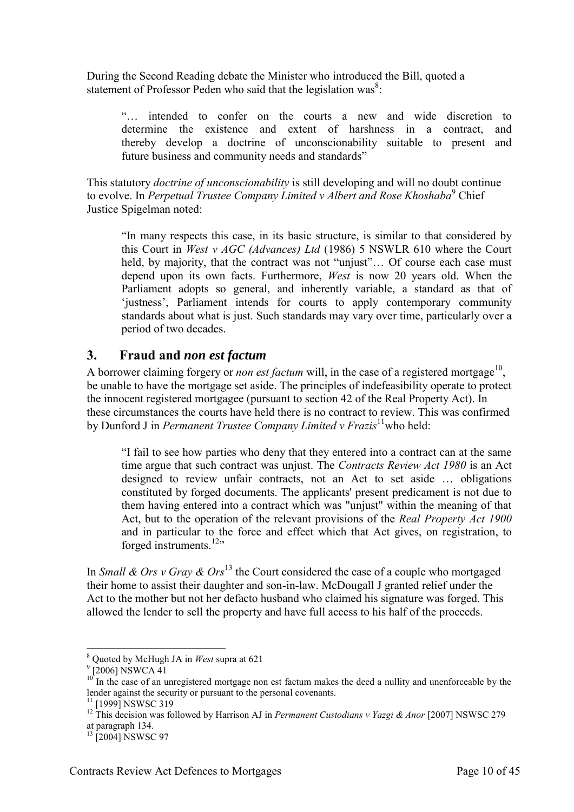During the Second Reading debate the Minister who introduced the Bill, quoted a statement of Professor Peden who said that the legislation was<sup>8</sup>:

"… intended to confer on the courts a new and wide discretion to determine the existence and extent of harshness in a contract, and thereby develop a doctrine of unconscionability suitable to present and future business and community needs and standards"

This statutory *doctrine of unconscionability* is still developing and will no doubt continue to evolve. In *Perpetual Trustee Company Limited v Albert and Rose Khoshaba*<sup>9</sup> Chief Justice Spigelman noted:

"In many respects this case, in its basic structure, is similar to that considered by this Court in *West v AGC (Advances) Ltd* (1986) 5 NSWLR 610 where the Court held, by majority, that the contract was not "unjust"... Of course each case must depend upon its own facts. Furthermore, *West* is now 20 years old. When the Parliament adopts so general, and inherently variable, a standard as that of 'justness', Parliament intends for courts to apply contemporary community standards about what is just. Such standards may vary over time, particularly over a period of two decades.

#### <span id="page-9-0"></span>**3. Fraud and** *non est factum*

A borrower claiming forgery or *non est factum* will, in the case of a registered mortgage<sup>10</sup>, be unable to have the mortgage set aside. The principles of indefeasibility operate to protect the innocent registered mortgagee (pursuant to section 42 of the Real Property Act). In these circumstances the courts have held there is no contract to review. This was confirmed by Dunford J in *Permanent Trustee Company Limited v Frazis*<sup>11</sup>who held:

"I fail to see how parties who deny that they entered into a contract can at the same time argue that such contract was unjust. The *Contracts Review Act 1980* is an Act designed to review unfair contracts, not an Act to set aside … obligations constituted by forged documents. The applicants' present predicament is not due to them having entered into a contract which was "unjust" within the meaning of that Act, but to the operation of the relevant provisions of the *Real Property Act 1900* and in particular to the force and effect which that Act gives, on registration, to forged instruments.<sup>12</sup>"

In *Small & Ors v Gray & Ors*<sup>13</sup> the Court considered the case of a couple who mortgaged their home to assist their daughter and son-in-law. McDougall J granted relief under the Act to the mother but not her defacto husband who claimed his signature was forged. This allowed the lender to sell the property and have full access to his half of the proceeds.

<sup>8</sup> Quoted by McHugh JA in *West* supra at 621

<sup>&</sup>lt;sup>9</sup> [2006] NSWCA 41

 $10$  In the case of an unregistered mortgage non est factum makes the deed a nullity and unenforceable by the lender against the security or pursuant to the personal covenants.

<sup>&</sup>lt;sup>11</sup> [1999] NSWSC 319

<sup>&</sup>lt;sup>12</sup> This decision was followed by Harrison AJ in *Permanent Custodians v Yazgi & Anor* [2007] NSWSC 279 at paragraph 134.

 $13$  [2004] NSWSC 97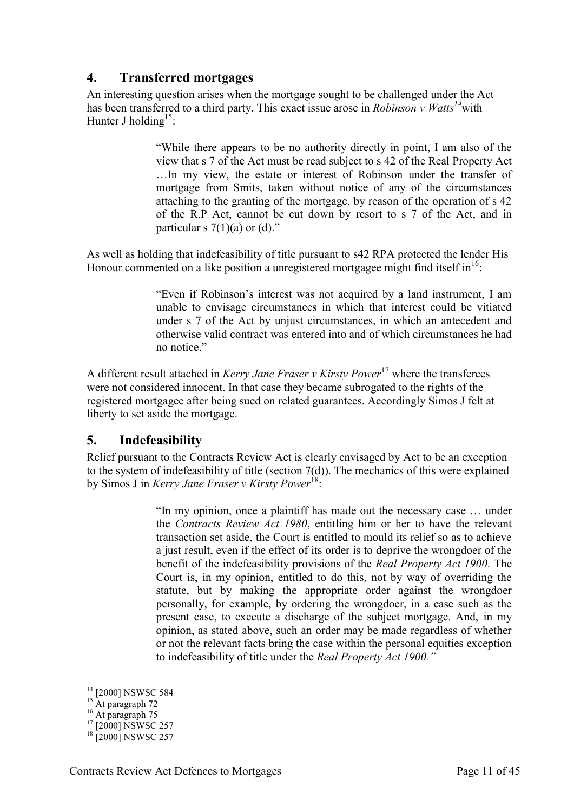### <span id="page-10-0"></span>**4. Transferred mortgages**

An interesting question arises when the mortgage sought to be challenged under the Act has been transferred to a third party. This exact issue arose in *Robinson v Watts<sup>14</sup>*with Hunter J holding<sup>15</sup>:

> "While there appears to be no authority directly in point, I am also of the view that s 7 of the Act must be read subject to s 42 of the Real Property Act …In my view, the estate or interest of Robinson under the transfer of mortgage from Smits, taken without notice of any of the circumstances attaching to the granting of the mortgage, by reason of the operation of s 42 of the R.P Act, cannot be cut down by resort to s 7 of the Act, and in particular s  $7(1)(a)$  or  $(d)$ ."

As well as holding that indefeasibility of title pursuant to s42 RPA protected the lender His Honour commented on a like position a unregistered mortgagee might find itself in  $16$ .

> "Even if Robinson's interest was not acquired by a land instrument, I am unable to envisage circumstances in which that interest could be vitiated under s 7 of the Act by unjust circumstances, in which an antecedent and otherwise valid contract was entered into and of which circumstances he had no notice"

A different result attached in *Kerry Jane Fraser v Kirsty Power*<sup>17</sup> where the transferees were not considered innocent. In that case they became subrogated to the rights of the registered mortgagee after being sued on related guarantees. Accordingly Simos J felt at liberty to set aside the mortgage.

#### <span id="page-10-1"></span>**5. Indefeasibility**

Relief pursuant to the Contracts Review Act is clearly envisaged by Act to be an exception to the system of indefeasibility of title (section  $7(d)$ ). The mechanics of this were explained by Simos J in *Kerry Jane Fraser v Kirsty Power*<sup>18</sup>:

> "In my opinion, once a plaintiff has made out the necessary case … under the *Contracts Review Act 1980*, entitling him or her to have the relevant transaction set aside, the Court is entitled to mould its relief so as to achieve a just result, even if the effect of its order is to deprive the wrongdoer of the benefit of the indefeasibility provisions of the *Real Property Act 1900*. The Court is, in my opinion, entitled to do this, not by way of overriding the statute, but by making the appropriate order against the wrongdoer personally, for example, by ordering the wrongdoer, in a case such as the present case, to execute a discharge of the subject mortgage. And, in my opinion, as stated above, such an order may be made regardless of whether or not the relevant facts bring the case within the personal equities exception to indefeasibility of title under the *Real Property Act 1900."*

<sup>&</sup>lt;sup>14</sup> [2000] NSWSC 584

 $15$  At paragraph 72

 $16$  At paragraph 75

 $17$  [2000] NSWSC 257

<sup>&</sup>lt;sup>18</sup> [2000] NSWSC 257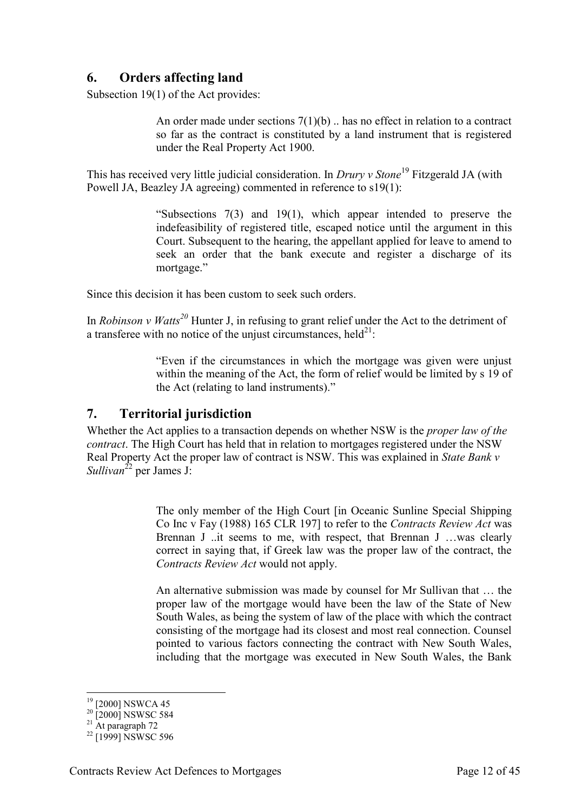### <span id="page-11-0"></span>**6. Orders affecting land**

Subsection 19(1) of the Act provides:

An order made under sections  $7(1)(b)$ ... has no effect in relation to a contract so far as the contract is constituted by a land instrument that is registered under the Real Property Act 1900.

This has received very little judicial consideration. In *Drury v Stone*<sup>19</sup> Fitzgerald JA (with Powell JA, Beazley JA agreeing) commented in reference to s19(1):

> "Subsections 7(3) and 19(1), which appear intended to preserve the indefeasibility of registered title, escaped notice until the argument in this Court. Subsequent to the hearing, the appellant applied for leave to amend to seek an order that the bank execute and register a discharge of its mortgage."

Since this decision it has been custom to seek such orders.

In *Robinson v Watts<sup>20</sup>* Hunter J, in refusing to grant relief under the Act to the detriment of a transferee with no notice of the unjust circumstances, held<sup>21</sup>:

> "Even if the circumstances in which the mortgage was given were unjust within the meaning of the Act, the form of relief would be limited by s 19 of the Act (relating to land instruments)."

#### <span id="page-11-1"></span>**7. Territorial jurisdiction**

Whether the Act applies to a transaction depends on whether NSW is the *proper law of the contract*. The High Court has held that in relation to mortgages registered under the NSW Real Property Act the proper law of contract is NSW. This was explained in *State Bank v Sullivan*<sup>22</sup> per James J:

> The only member of the High Court [in Oceanic Sunline Special Shipping Co Inc v Fay (1988) 165 CLR 197] to refer to the *Contracts Review Act* was Brennan J ..it seems to me, with respect, that Brennan J …was clearly correct in saying that, if Greek law was the proper law of the contract, the *Contracts Review Act* would not apply.

> An alternative submission was made by counsel for Mr Sullivan that … the proper law of the mortgage would have been the law of the State of New South Wales, as being the system of law of the place with which the contract consisting of the mortgage had its closest and most real connection. Counsel pointed to various factors connecting the contract with New South Wales, including that the mortgage was executed in New South Wales, the Bank

 $19$  [2000] NSWCA 45

 $20$   $[2000]$  NSWSC 584

 $21$  At paragraph 72

 $22$  [1999] NSWSC 596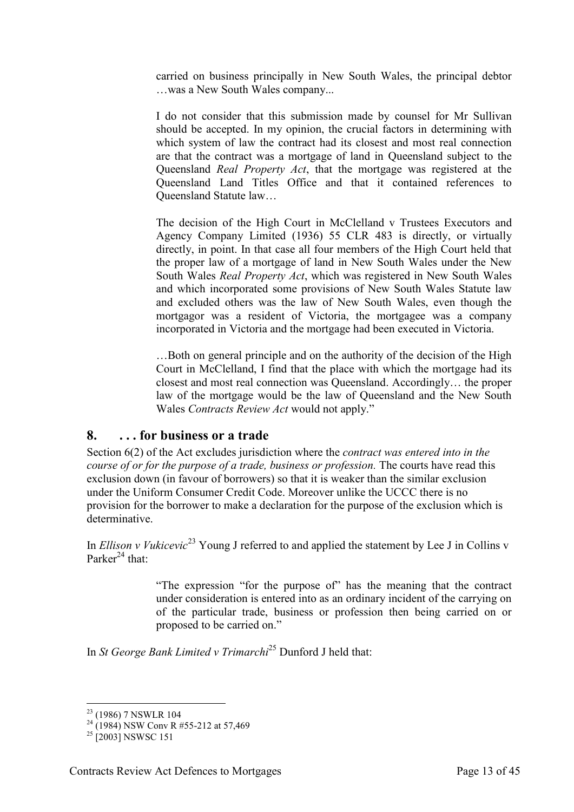carried on business principally in New South Wales, the principal debtor …was a New South Wales company...

I do not consider that this submission made by counsel for Mr Sullivan should be accepted. In my opinion, the crucial factors in determining with which system of law the contract had its closest and most real connection are that the contract was a mortgage of land in Queensland subject to the Queensland *Real Property Act*, that the mortgage was registered at the Queensland Land Titles Office and that it contained references to Queensland Statute law…

The decision of the High Court in McClelland v Trustees Executors and Agency Company Limited (1936) 55 CLR 483 is directly, or virtually directly, in point. In that case all four members of the High Court held that the proper law of a mortgage of land in New South Wales under the New South Wales *Real Property Act*, which was registered in New South Wales and which incorporated some provisions of New South Wales Statute law and excluded others was the law of New South Wales, even though the mortgagor was a resident of Victoria, the mortgagee was a company incorporated in Victoria and the mortgage had been executed in Victoria.

…Both on general principle and on the authority of the decision of the High Court in McClelland, I find that the place with which the mortgage had its closest and most real connection was Queensland. Accordingly… the proper law of the mortgage would be the law of Queensland and the New South Wales *Contracts Review Act* would not apply."

# <span id="page-12-0"></span>**8. . . . for business or a trade**

Section 6(2) of the Act excludes jurisdiction where the *contract was entered into in the course of or for the purpose of a trade, business or profession.* The courts have read this exclusion down (in favour of borrowers) so that it is weaker than the similar exclusion under the Uniform Consumer Credit Code. Moreover unlike the UCCC there is no provision for the borrower to make a declaration for the purpose of the exclusion which is determinative.

In *Ellison v Vukicevic*<sup>23</sup> Young J referred to and applied the statement by Lee J in Collins v Parker<sup>24</sup> that:

> "The expression "for the purpose of" has the meaning that the contract under consideration is entered into as an ordinary incident of the carrying on of the particular trade, business or profession then being carried on or proposed to be carried on."

In *St George Bank Limited v Trimarchi*<sup>25</sup> Dunford J held that:

<sup>-</sup><sup>23</sup> (1986) 7 NSWLR 104

 $^{24}$  (1984) NSW Conv R #55-212 at 57.469

 $^{25}$  [2003] NSWSC 151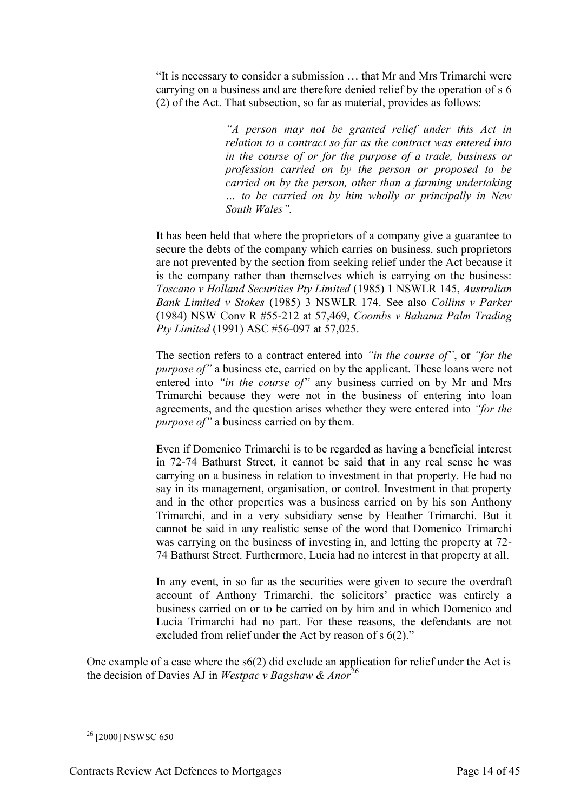"It is necessary to consider a submission … that Mr and Mrs Trimarchi were carrying on a business and are therefore denied relief by the operation of s 6 (2) of the Act. That subsection, so far as material, provides as follows:

> *"A person may not be granted relief under this Act in relation to a contract so far as the contract was entered into in the course of or for the purpose of a trade, business or profession carried on by the person or proposed to be carried on by the person, other than a farming undertaking … to be carried on by him wholly or principally in New South Wales".*

It has been held that where the proprietors of a company give a guarantee to secure the debts of the company which carries on business, such proprietors are not prevented by the section from seeking relief under the Act because it is the company rather than themselves which is carrying on the business: *Toscano v Holland Securities Pty Limited* (1985) 1 NSWLR 145, *Australian Bank Limited v Stokes* (1985) 3 NSWLR 174. See also *Collins v Parker* (1984) NSW Conv R #55-212 at 57,469, *Coombs v Bahama Palm Trading Pty Limited* (1991) ASC #56-097 at 57,025.

The section refers to a contract entered into *"in the course of"*, or *"for the purpose of*" a business etc, carried on by the applicant. These loans were not entered into *"in the course of"* any business carried on by Mr and Mrs Trimarchi because they were not in the business of entering into loan agreements, and the question arises whether they were entered into *"for the purpose of"* a business carried on by them.

Even if Domenico Trimarchi is to be regarded as having a beneficial interest in 72-74 Bathurst Street, it cannot be said that in any real sense he was carrying on a business in relation to investment in that property. He had no say in its management, organisation, or control. Investment in that property and in the other properties was a business carried on by his son Anthony Trimarchi, and in a very subsidiary sense by Heather Trimarchi. But it cannot be said in any realistic sense of the word that Domenico Trimarchi was carrying on the business of investing in, and letting the property at 72- 74 Bathurst Street. Furthermore, Lucia had no interest in that property at all.

In any event, in so far as the securities were given to secure the overdraft account of Anthony Trimarchi, the solicitors' practice was entirely a business carried on or to be carried on by him and in which Domenico and Lucia Trimarchi had no part. For these reasons, the defendants are not excluded from relief under the Act by reason of s 6(2)."

One example of a case where the s6(2) did exclude an application for relief under the Act is the decision of Davies AJ in *Westpac v Bagshaw & Anor*<sup>26</sup>

<sup>-</sup><sup>26</sup> [2000] NSWSC 650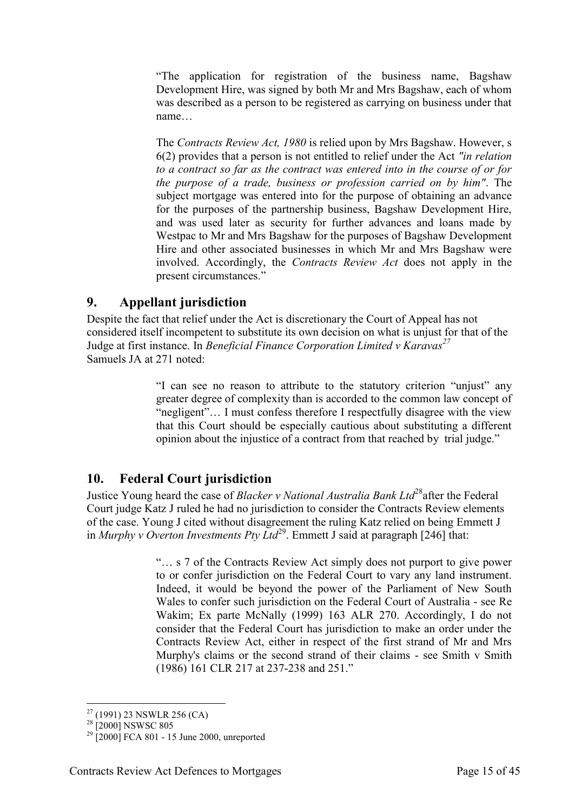"The application for registration of the business name, Bagshaw Development Hire, was signed by both Mr and Mrs Bagshaw, each of whom was described as a person to be registered as carrying on business under that name…

The *Contracts Review Act, 1980* is relied upon by Mrs Bagshaw. However, s 6(2) provides that a person is not entitled to relief under the Act *"in relation to a contract so far as the contract was entered into in the course of or for the purpose of a trade, business or profession carried on by him"*. The subject mortgage was entered into for the purpose of obtaining an advance for the purposes of the partnership business, Bagshaw Development Hire, and was used later as security for further advances and loans made by Westpac to Mr and Mrs Bagshaw for the purposes of Bagshaw Development Hire and other associated businesses in which Mr and Mrs Bagshaw were involved. Accordingly, the *Contracts Review Act* does not apply in the present circumstances."

### <span id="page-14-0"></span>**9. Appellant jurisdiction**

Despite the fact that relief under the Act is discretionary the Court of Appeal has not considered itself incompetent to substitute its own decision on what is unjust for that of the Judge at first instance. In *Beneficial Finance Corporation Limited v Karavas<sup>27</sup>* Samuels JA at 271 noted:

> "I can see no reason to attribute to the statutory criterion "unjust" any greater degree of complexity than is accorded to the common law concept of "negligent"… I must confess therefore I respectfully disagree with the view that this Court should be especially cautious about substituting a different opinion about the injustice of a contract from that reached by trial judge."

# <span id="page-14-1"></span>**10. Federal Court jurisdiction**

Justice Young heard the case of *Blacker v National Australia Bank Ltd*<sup>28</sup>after the Federal Court judge Katz J ruled he had no jurisdiction to consider the Contracts Review elements of the case. Young J cited without disagreement the ruling Katz relied on being Emmett J in *Murphy v Overton Investments Pty Ltd*<sup>29</sup>. Emmett J said at paragraph [246] that:

> "… s 7 of the Contracts Review Act simply does not purport to give power to or confer jurisdiction on the Federal Court to vary any land instrument. Indeed, it would be beyond the power of the Parliament of New South Wales to confer such jurisdiction on the Federal Court of Australia - see Re Wakim; Ex parte McNally (1999) 163 ALR 270. Accordingly, I do not consider that the Federal Court has jurisdiction to make an order under the Contracts Review Act, either in respect of the first strand of Mr and Mrs Murphy's claims or the second strand of their claims - see Smith v Smith (1986) 161 CLR 217 at 237-238 and 251."

<sup>-</sup> $27$  (1991) 23 NSWLR 256 (CA)

<sup>&</sup>lt;sup>28</sup> [2000] NSWSC 805

 $^{29}$  [2000] FCA 801 - 15 June 2000, unreported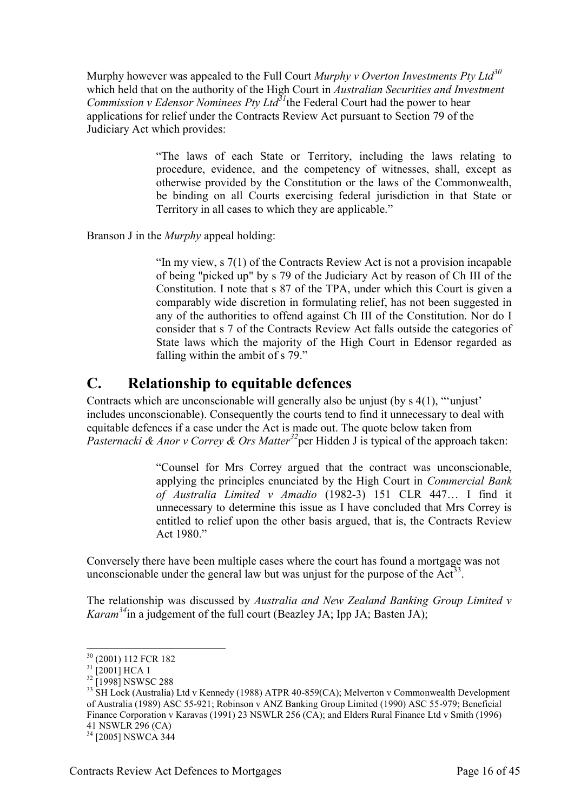Murphy however was appealed to the Full Court *Murphy v Overton Investments Pty Ltd<sup>30</sup>* which held that on the authority of the High Court in *Australian Securities and Investment Commission v Edensor Nominees Pty Ltd<sup>31</sup>*the Federal Court had the power to hear applications for relief under the Contracts Review Act pursuant to Section 79 of the Judiciary Act which provides:

> "The laws of each State or Territory, including the laws relating to procedure, evidence, and the competency of witnesses, shall, except as otherwise provided by the Constitution or the laws of the Commonwealth, be binding on all Courts exercising federal jurisdiction in that State or Territory in all cases to which they are applicable."

Branson J in the *Murphy* appeal holding:

"In my view, s 7(1) of the Contracts Review Act is not a provision incapable of being "picked up" by s 79 of the Judiciary Act by reason of Ch III of the Constitution. I note that s 87 of the TPA, under which this Court is given a comparably wide discretion in formulating relief, has not been suggested in any of the authorities to offend against Ch III of the Constitution. Nor do I consider that s 7 of the Contracts Review Act falls outside the categories of State laws which the majority of the High Court in Edensor regarded as falling within the ambit of s 79."

# <span id="page-15-0"></span>**C. Relationship to equitable defences**

Contracts which are unconscionable will generally also be unjust (by s 4(1), "'unjust' includes unconscionable). Consequently the courts tend to find it unnecessary to deal with equitable defences if a case under the Act is made out. The quote below taken from *Pasternacki & Anor v Correy & Ors Matter<sup>32</sup>*per Hidden J is typical of the approach taken:

> "Counsel for Mrs Correy argued that the contract was unconscionable, applying the principles enunciated by the High Court in *Commercial Bank of Australia Limited v Amadio* (1982-3) 151 CLR 447… I find it unnecessary to determine this issue as I have concluded that Mrs Correy is entitled to relief upon the other basis argued, that is, the Contracts Review Act 1980<sup>"</sup>

Conversely there have been multiple cases where the court has found a mortgage was not unconscionable under the general law but was unjust for the purpose of the  $Act^{33}$ .

The relationship was discussed by *Australia and New Zealand Banking Group Limited v Karam<sup>34</sup>*in a judgement of the full court (Beazley JA; Ipp JA; Basten JA);

<sup>30</sup> (2001) 112 FCR 182

 $31$  [2001] HCA 1

 $^{32}$ [1998] NSWSC 288

<sup>&</sup>lt;sup>33</sup> SH Lock (Australia) Ltd v Kennedy (1988) ATPR 40-859(CA); Melverton v Commonwealth Development of Australia (1989) ASC 55-921; Robinson v ANZ Banking Group Limited (1990) ASC 55-979; Beneficial Finance Corporation v Karavas (1991) 23 NSWLR 256 (CA); and Elders Rural Finance Ltd v Smith (1996) 41 NSWLR 296 (CA)

<sup>&</sup>lt;sup>34</sup> [2005] NSWCA 344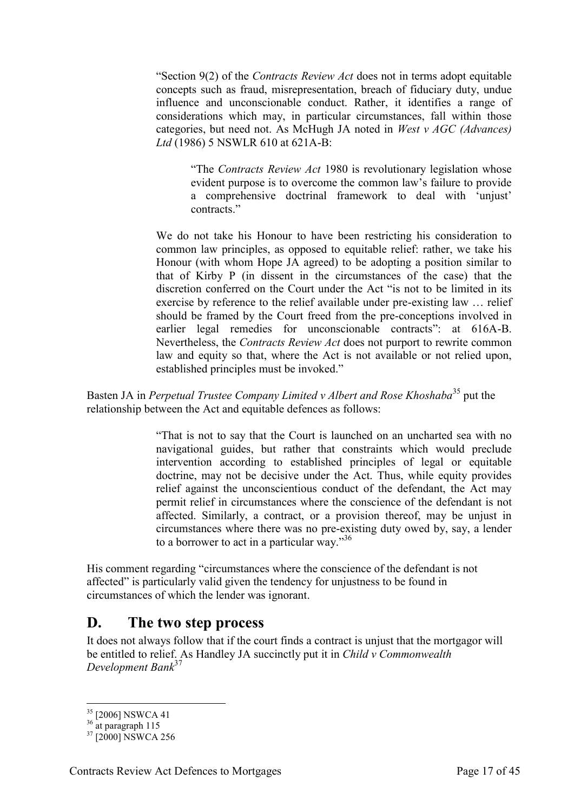"Section 9(2) of the *Contracts Review Act* does not in terms adopt equitable concepts such as fraud, misrepresentation, breach of fiduciary duty, undue influence and unconscionable conduct. Rather, it identifies a range of considerations which may, in particular circumstances, fall within those categories, but need not. As McHugh JA noted in *West v AGC (Advances) Ltd* (1986) 5 NSWLR 610 at 621A-B:

"The *Contracts Review Act* 1980 is revolutionary legislation whose evident purpose is to overcome the common law's failure to provide a comprehensive doctrinal framework to deal with 'unjust' contracts<sup>"</sup>

We do not take his Honour to have been restricting his consideration to common law principles, as opposed to equitable relief: rather, we take his Honour (with whom Hope JA agreed) to be adopting a position similar to that of Kirby P (in dissent in the circumstances of the case) that the discretion conferred on the Court under the Act "is not to be limited in its exercise by reference to the relief available under pre-existing law … relief should be framed by the Court freed from the pre-conceptions involved in earlier legal remedies for unconscionable contracts": at 616A-B. Nevertheless, the *Contracts Review Act* does not purport to rewrite common law and equity so that, where the Act is not available or not relied upon, established principles must be invoked."

Basten JA in *Perpetual Trustee Company Limited v Albert and Rose Khoshaba*<sup>35</sup> put the relationship between the Act and equitable defences as follows:

> "That is not to say that the Court is launched on an uncharted sea with no navigational guides, but rather that constraints which would preclude intervention according to established principles of legal or equitable doctrine, may not be decisive under the Act. Thus, while equity provides relief against the unconscientious conduct of the defendant, the Act may permit relief in circumstances where the conscience of the defendant is not affected. Similarly, a contract, or a provision thereof, may be unjust in circumstances where there was no pre-existing duty owed by, say, a lender to a borrower to act in a particular way."<sup>36</sup>

His comment regarding "circumstances where the conscience of the defendant is not affected" is particularly valid given the tendency for unjustness to be found in circumstances of which the lender was ignorant.

# <span id="page-16-0"></span>**D. The two step process**

It does not always follow that if the court finds a contract is unjust that the mortgagor will be entitled to relief. As Handley JA succinctly put it in *Child v Commonwealth Development Bank*<sup>37</sup>

<sup>-</sup><sup>35</sup> [2006] NSWCA 41

 $36$  at paragraph 115

<sup>&</sup>lt;sup>37</sup> [2000] NSWCA 256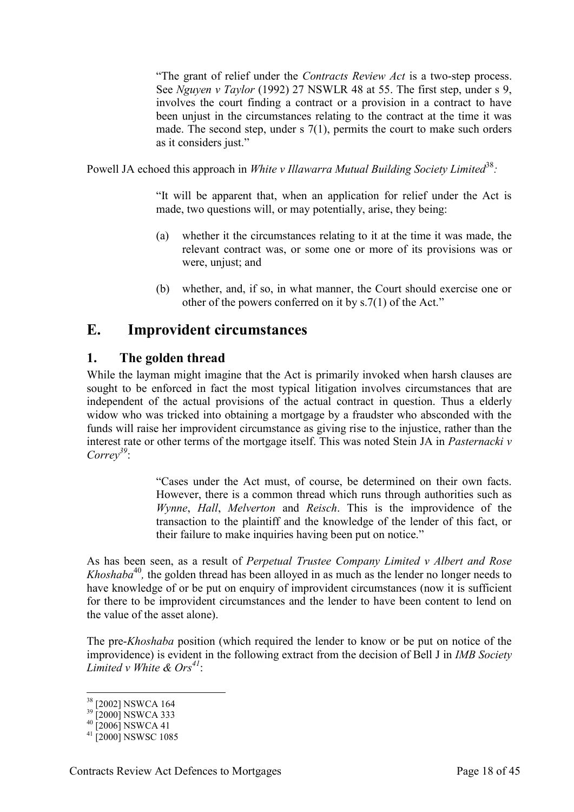"The grant of relief under the *Contracts Review Act* is a two-step process. See *Nguyen v Taylor* (1992) 27 NSWLR 48 at 55. The first step, under s 9, involves the court finding a contract or a provision in a contract to have been unjust in the circumstances relating to the contract at the time it was made. The second step, under  $s \, 7(1)$ , permits the court to make such orders as it considers just."

Powell JA echoed this approach in *White v Illawarra Mutual Building Society Limited*<sup>38</sup>:

"It will be apparent that, when an application for relief under the Act is made, two questions will, or may potentially, arise, they being:

- (a) whether it the circumstances relating to it at the time it was made, the relevant contract was, or some one or more of its provisions was or were, unjust; and
- (b) whether, and, if so, in what manner, the Court should exercise one or other of the powers conferred on it by s.7(1) of the Act."

# <span id="page-17-0"></span>**E. Improvident circumstances**

### <span id="page-17-1"></span>**1. The golden thread**

While the layman might imagine that the Act is primarily invoked when harsh clauses are sought to be enforced in fact the most typical litigation involves circumstances that are independent of the actual provisions of the actual contract in question. Thus a elderly widow who was tricked into obtaining a mortgage by a fraudster who absconded with the funds will raise her improvident circumstance as giving rise to the injustice, rather than the interest rate or other terms of the mortgage itself. This was noted Stein JA in *Pasternacki v Correy<sup>39</sup>*:

> "Cases under the Act must, of course, be determined on their own facts. However, there is a common thread which runs through authorities such as *Wynne*, *Hall*, *Melverton* and *Reisch*. This is the improvidence of the transaction to the plaintiff and the knowledge of the lender of this fact, or their failure to make inquiries having been put on notice."

As has been seen, as a result of *Perpetual Trustee Company Limited v Albert and Rose Khoshaba*<sup>40</sup>, the golden thread has been alloyed in as much as the lender no longer needs to have knowledge of or be put on enquiry of improvident circumstances (now it is sufficient for there to be improvident circumstances and the lender to have been content to lend on the value of the asset alone).

The pre-*Khoshaba* position (which required the lender to know or be put on notice of the improvidence) is evident in the following extract from the decision of Bell J in *IMB Society Limited v White & Ors<sup>41</sup>*:

<sup>&</sup>lt;sup>38</sup> [2002] NSWCA 164

<sup>&</sup>lt;sup>39</sup> [2000] NSWCA 333

 $^{40}$  [2006] NSWCA 41

 $41$  [2000] NSWSC 1085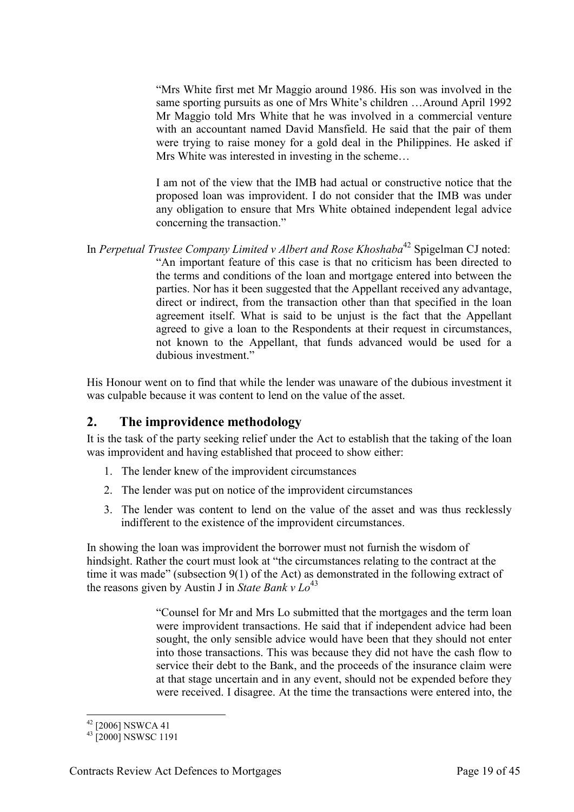"Mrs White first met Mr Maggio around 1986. His son was involved in the same sporting pursuits as one of Mrs White's children …Around April 1992 Mr Maggio told Mrs White that he was involved in a commercial venture with an accountant named David Mansfield. He said that the pair of them were trying to raise money for a gold deal in the Philippines. He asked if Mrs White was interested in investing in the scheme…

I am not of the view that the IMB had actual or constructive notice that the proposed loan was improvident. I do not consider that the IMB was under any obligation to ensure that Mrs White obtained independent legal advice concerning the transaction."

In *Perpetual Trustee Company Limited v Albert and Rose Khoshaba*<sup>42</sup> Spigelman CJ noted: "An important feature of this case is that no criticism has been directed to the terms and conditions of the loan and mortgage entered into between the parties. Nor has it been suggested that the Appellant received any advantage, direct or indirect, from the transaction other than that specified in the loan agreement itself. What is said to be unjust is the fact that the Appellant agreed to give a loan to the Respondents at their request in circumstances, not known to the Appellant, that funds advanced would be used for a dubious investment."

His Honour went on to find that while the lender was unaware of the dubious investment it was culpable because it was content to lend on the value of the asset.

#### <span id="page-18-0"></span>**2. The improvidence methodology**

It is the task of the party seeking relief under the Act to establish that the taking of the loan was improvident and having established that proceed to show either:

- 1. The lender knew of the improvident circumstances
- 2. The lender was put on notice of the improvident circumstances
- 3. The lender was content to lend on the value of the asset and was thus recklessly indifferent to the existence of the improvident circumstances.

In showing the loan was improvident the borrower must not furnish the wisdom of hindsight. Rather the court must look at "the circumstances relating to the contract at the time it was made" (subsection 9(1) of the Act) as demonstrated in the following extract of the reasons given by Austin J in *State Bank*  $v$   $Lo^{43}$ 

> "Counsel for Mr and Mrs Lo submitted that the mortgages and the term loan were improvident transactions. He said that if independent advice had been sought, the only sensible advice would have been that they should not enter into those transactions. This was because they did not have the cash flow to service their debt to the Bank, and the proceeds of the insurance claim were at that stage uncertain and in any event, should not be expended before they were received. I disagree. At the time the transactions were entered into, the

<sup>-</sup> $^{42}$  [2006] NSWCA 41

<sup>&</sup>lt;sup>43</sup> [2000] NSWSC 1191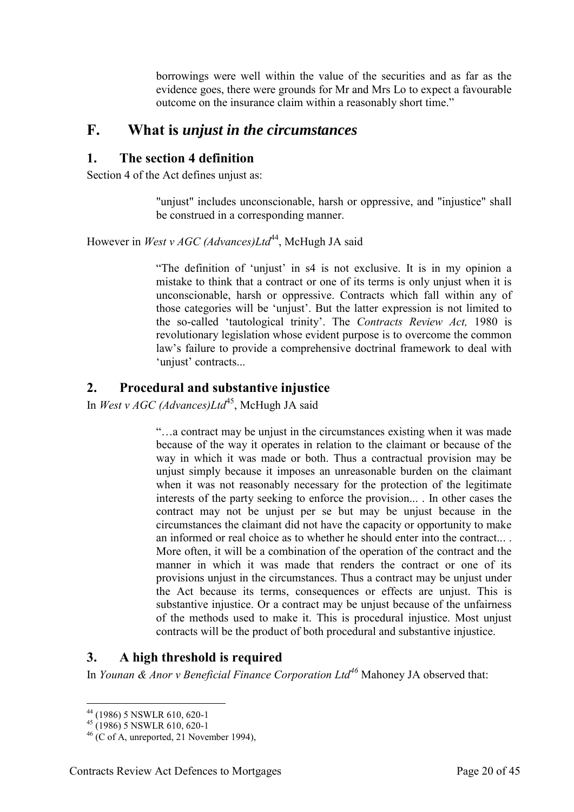borrowings were well within the value of the securities and as far as the evidence goes, there were grounds for Mr and Mrs Lo to expect a favourable outcome on the insurance claim within a reasonably short time."

# <span id="page-19-0"></span>**F. What is** *unjust in the circumstances*

# <span id="page-19-1"></span>**1. The section 4 definition**

Section 4 of the Act defines unjust as:

"unjust" includes unconscionable, harsh or oppressive, and "injustice" shall be construed in a corresponding manner.

However in *West v AGC (Advances)Ltd*<sup>44</sup>, McHugh JA said

"The definition of 'unjust' in s4 is not exclusive. It is in my opinion a mistake to think that a contract or one of its terms is only unjust when it is unconscionable, harsh or oppressive. Contracts which fall within any of those categories will be 'unjust'. But the latter expression is not limited to the so-called 'tautological trinity'. The *Contracts Review Act,* 1980 is revolutionary legislation whose evident purpose is to overcome the common law's failure to provide a comprehensive doctrinal framework to deal with 'unjust' contracts...

# <span id="page-19-2"></span>**2. Procedural and substantive injustice**

In *West v AGC (Advances)Ltd*<sup>45</sup>, McHugh JA said

"…a contract may be unjust in the circumstances existing when it was made because of the way it operates in relation to the claimant or because of the way in which it was made or both. Thus a contractual provision may be unjust simply because it imposes an unreasonable burden on the claimant when it was not reasonably necessary for the protection of the legitimate interests of the party seeking to enforce the provision... . In other cases the contract may not be unjust per se but may be unjust because in the circumstances the claimant did not have the capacity or opportunity to make an informed or real choice as to whether he should enter into the contract... . More often, it will be a combination of the operation of the contract and the manner in which it was made that renders the contract or one of its provisions unjust in the circumstances. Thus a contract may be unjust under the Act because its terms, consequences or effects are unjust. This is substantive injustice. Or a contract may be unjust because of the unfairness of the methods used to make it. This is procedural injustice. Most unjust contracts will be the product of both procedural and substantive injustice.

# <span id="page-19-3"></span>**3. A high threshold is required**

In *Younan & Anor v Beneficial Finance Corporation Ltd<sup>46</sup>* Mahoney JA observed that:

<sup>-</sup><sup>44</sup> (1986) 5 NSWLR 610, 620-1

 $^{45}$  (1986) 5 NSWLR 610, 620-1

 $46$  (C of A, unreported, 21 November 1994),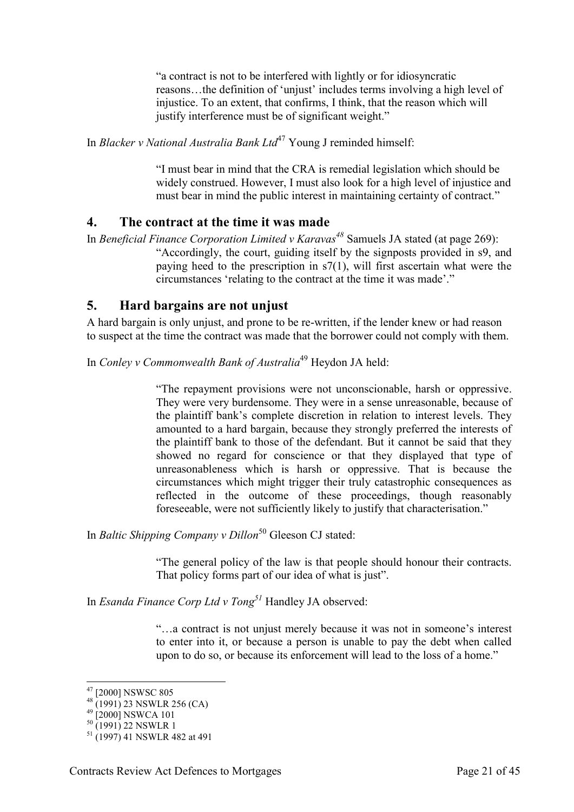"a contract is not to be interfered with lightly or for idiosyncratic reasons…the definition of 'unjust' includes terms involving a high level of injustice. To an extent, that confirms, I think, that the reason which will justify interference must be of significant weight."

In *Blacker v National Australia Bank Ltd*<sup>47</sup> Young J reminded himself:

"I must bear in mind that the CRA is remedial legislation which should be widely construed. However, I must also look for a high level of injustice and must bear in mind the public interest in maintaining certainty of contract."

#### <span id="page-20-0"></span>**4. The contract at the time it was made**

In *Beneficial Finance Corporation Limited v Karavas<sup>48</sup>* Samuels JA stated (at page 269): "Accordingly, the court, guiding itself by the signposts provided in s9, and paying heed to the prescription in s7(1), will first ascertain what were the circumstances 'relating to the contract at the time it was made'."

#### <span id="page-20-1"></span>**5. Hard bargains are not unjust**

A hard bargain is only unjust, and prone to be re-written, if the lender knew or had reason to suspect at the time the contract was made that the borrower could not comply with them.

In *Conley v Commonwealth Bank of Australia*<sup>49</sup> Heydon JA held:

"The repayment provisions were not unconscionable, harsh or oppressive. They were very burdensome. They were in a sense unreasonable, because of the plaintiff bank's complete discretion in relation to interest levels. They amounted to a hard bargain, because they strongly preferred the interests of the plaintiff bank to those of the defendant. But it cannot be said that they showed no regard for conscience or that they displayed that type of unreasonableness which is harsh or oppressive. That is because the circumstances which might trigger their truly catastrophic consequences as reflected in the outcome of these proceedings, though reasonably foreseeable, were not sufficiently likely to justify that characterisation."

In *Baltic Shipping Company v Dillon*<sup>50</sup> Gleeson CJ stated:

"The general policy of the law is that people should honour their contracts. That policy forms part of our idea of what is just".

In *Esanda Finance Corp Ltd v Tong<sup>51</sup>* Handley JA observed:

"…a contract is not unjust merely because it was not in someone's interest to enter into it, or because a person is unable to pay the debt when called upon to do so, or because its enforcement will lead to the loss of a home."

<sup>&</sup>lt;sup>47</sup> [2000] NSWSC 805

 $48^{12000}$  130 MSC 000

 $^{49}$  [2000] NSWCA 101

 $^{50}$  (1991) 22 NSWLR 1

<sup>&</sup>lt;sup>51</sup> (1997) 41 NSWLR 482 at 491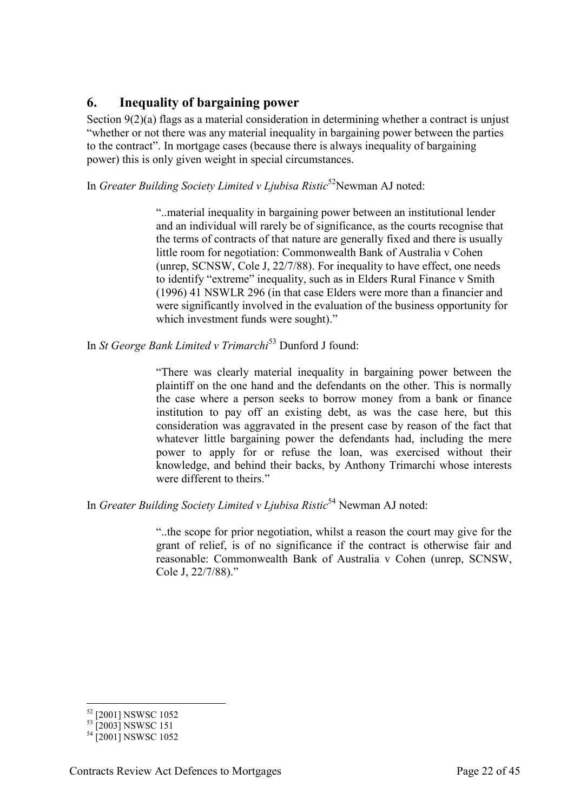# <span id="page-21-0"></span>**6. Inequality of bargaining power**

Section 9(2)(a) flags as a material consideration in determining whether a contract is unjust "whether or not there was any material inequality in bargaining power between the parties to the contract". In mortgage cases (because there is always inequality of bargaining power) this is only given weight in special circumstances.

In *Greater Building Society Limited v Ljubisa Ristic*<sup>52</sup>Newman AJ noted:

"..material inequality in bargaining power between an institutional lender and an individual will rarely be of significance, as the courts recognise that the terms of contracts of that nature are generally fixed and there is usually little room for negotiation: Commonwealth Bank of Australia v Cohen (unrep, SCNSW, Cole J, 22/7/88). For inequality to have effect, one needs to identify "extreme" inequality, such as in Elders Rural Finance v Smith (1996) 41 NSWLR 296 (in that case Elders were more than a financier and were significantly involved in the evaluation of the business opportunity for which investment funds were sought)."

In *St George Bank Limited v Trimarchi*<sup>53</sup> Dunford J found:

"There was clearly material inequality in bargaining power between the plaintiff on the one hand and the defendants on the other. This is normally the case where a person seeks to borrow money from a bank or finance institution to pay off an existing debt, as was the case here, but this consideration was aggravated in the present case by reason of the fact that whatever little bargaining power the defendants had, including the mere power to apply for or refuse the loan, was exercised without their knowledge, and behind their backs, by Anthony Trimarchi whose interests were different to theirs."

In *Greater Building Society Limited v Ljubisa Ristic*<sup>54</sup> Newman AJ noted:

"..the scope for prior negotiation, whilst a reason the court may give for the grant of relief, is of no significance if the contract is otherwise fair and reasonable: Commonwealth Bank of Australia v Cohen (unrep, SCNSW, Cole J, 22/7/88)."

<sup>-</sup><sup>52</sup> [2001] NSWSC 1052

<sup>&</sup>lt;sup>53</sup> [2003] NSWSC 151

<sup>&</sup>lt;sup>54</sup> [2001] NSWSC 1052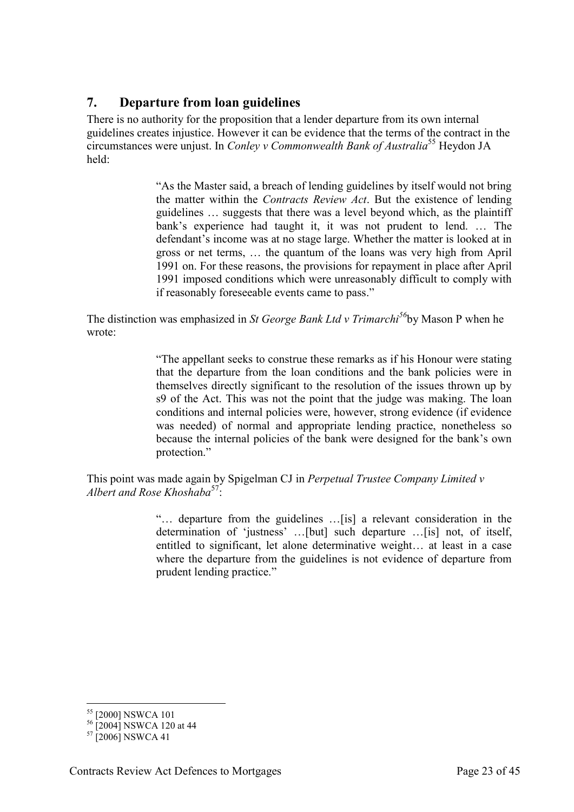# <span id="page-22-0"></span>**7. Departure from loan guidelines**

There is no authority for the proposition that a lender departure from its own internal guidelines creates injustice. However it can be evidence that the terms of the contract in the circumstances were unjust. In *Conley v Commonwealth Bank of Australia*<sup>55</sup> Heydon JA held:

> "As the Master said, a breach of lending guidelines by itself would not bring the matter within the *Contracts Review Act*. But the existence of lending guidelines … suggests that there was a level beyond which, as the plaintiff bank's experience had taught it, it was not prudent to lend. … The defendant's income was at no stage large. Whether the matter is looked at in gross or net terms, … the quantum of the loans was very high from April 1991 on. For these reasons, the provisions for repayment in place after April 1991 imposed conditions which were unreasonably difficult to comply with if reasonably foreseeable events came to pass."

The distinction was emphasized in *St George Bank Ltd v Trimarchi<sup>56</sup>*by Mason P when he wrote:

> "The appellant seeks to construe these remarks as if his Honour were stating that the departure from the loan conditions and the bank policies were in themselves directly significant to the resolution of the issues thrown up by s9 of the Act. This was not the point that the judge was making. The loan conditions and internal policies were, however, strong evidence (if evidence was needed) of normal and appropriate lending practice, nonetheless so because the internal policies of the bank were designed for the bank's own protection."

This point was made again by Spigelman CJ in *Perpetual Trustee Company Limited v Albert and Rose Khoshaba*<sup>57</sup>:

> "… departure from the guidelines …[is] a relevant consideration in the determination of 'justness' …[but] such departure …[is] not, of itself, entitled to significant, let alone determinative weight… at least in a case where the departure from the guidelines is not evidence of departure from prudent lending practice."

<sup>&</sup>lt;sup>55</sup> [2000] NSWCA 101

<sup>&</sup>lt;sup>56</sup> [2004] NSWCA 120 at 44

 $57$  [2006] NSWCA 41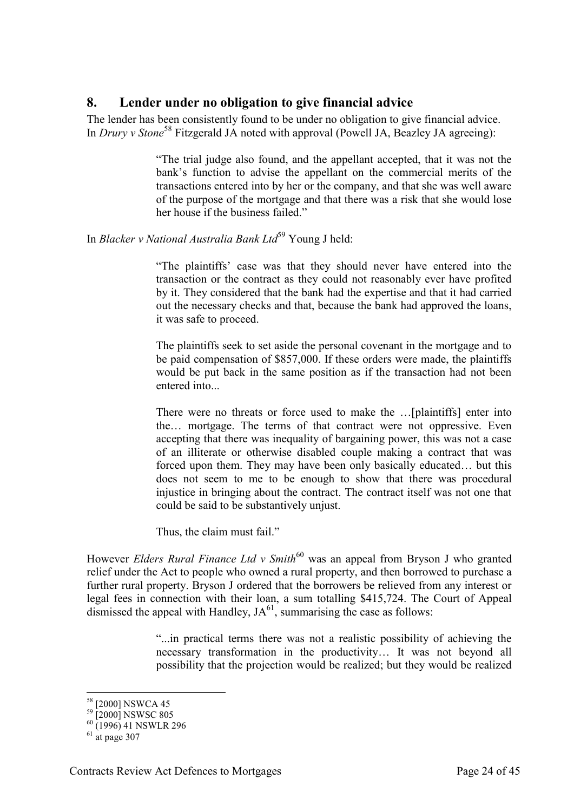### <span id="page-23-0"></span>**8. Lender under no obligation to give financial advice**

The lender has been consistently found to be under no obligation to give financial advice. In *Drury v Stone*<sup>58</sup> Fitzgerald JA noted with approval (Powell JA, Beazley JA agreeing):

> "The trial judge also found, and the appellant accepted, that it was not the bank's function to advise the appellant on the commercial merits of the transactions entered into by her or the company, and that she was well aware of the purpose of the mortgage and that there was a risk that she would lose her house if the business failed."

#### In *Blacker v National Australia Bank Ltd*<sup>59</sup> Young J held:

"The plaintiffs' case was that they should never have entered into the transaction or the contract as they could not reasonably ever have profited by it. They considered that the bank had the expertise and that it had carried out the necessary checks and that, because the bank had approved the loans, it was safe to proceed.

The plaintiffs seek to set aside the personal covenant in the mortgage and to be paid compensation of \$857,000. If these orders were made, the plaintiffs would be put back in the same position as if the transaction had not been entered into...

There were no threats or force used to make the …[plaintiffs] enter into the… mortgage. The terms of that contract were not oppressive. Even accepting that there was inequality of bargaining power, this was not a case of an illiterate or otherwise disabled couple making a contract that was forced upon them. They may have been only basically educated… but this does not seem to me to be enough to show that there was procedural injustice in bringing about the contract. The contract itself was not one that could be said to be substantively unjust.

Thus, the claim must fail."

However *Elders Rural Finance Ltd v Smith*<sup>60</sup> was an appeal from Bryson J who granted relief under the Act to people who owned a rural property, and then borrowed to purchase a further rural property. Bryson J ordered that the borrowers be relieved from any interest or legal fees in connection with their loan, a sum totalling \$415,724. The Court of Appeal dismissed the appeal with Handley,  $JA<sup>61</sup>$ , summarising the case as follows:

> "...in practical terms there was not a realistic possibility of achieving the necessary transformation in the productivity… It was not beyond all possibility that the projection would be realized; but they would be realized

<sup>&</sup>lt;sup>58</sup> [2000] NSWCA 45

 $^{59}$  [2000] NSWSC 805

 $^{60}$  (1996) 41 NSWLR 296

 $61$  at page 307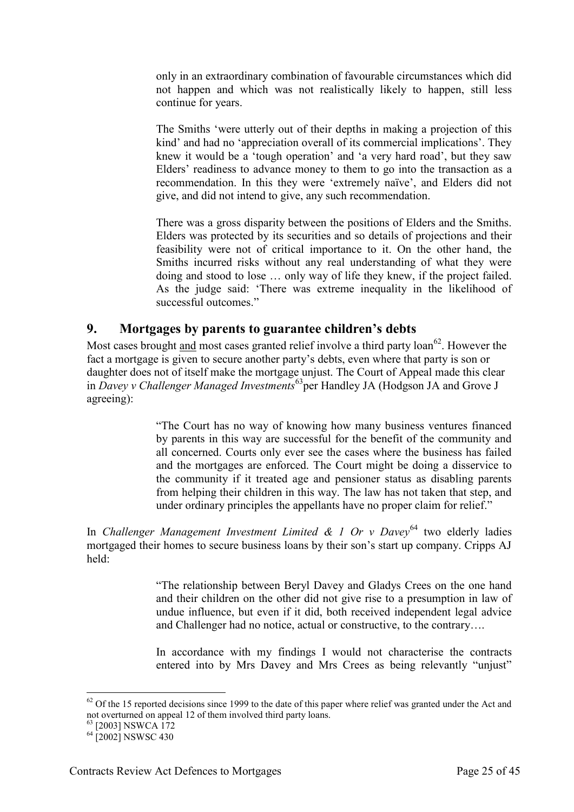only in an extraordinary combination of favourable circumstances which did not happen and which was not realistically likely to happen, still less continue for years.

The Smiths 'were utterly out of their depths in making a projection of this kind' and had no 'appreciation overall of its commercial implications'. They knew it would be a 'tough operation' and 'a very hard road', but they saw Elders' readiness to advance money to them to go into the transaction as a recommendation. In this they were 'extremely naïve', and Elders did not give, and did not intend to give, any such recommendation.

There was a gross disparity between the positions of Elders and the Smiths. Elders was protected by its securities and so details of projections and their feasibility were not of critical importance to it. On the other hand, the Smiths incurred risks without any real understanding of what they were doing and stood to lose … only way of life they knew, if the project failed. As the judge said: 'There was extreme inequality in the likelihood of successful outcomes."

#### <span id="page-24-0"></span>**9. Mortgages by parents to guarantee children's debts**

Most cases brought and most cases granted relief involve a third party  $\alpha$  loan<sup>62</sup>. However the fact a mortgage is given to secure another party's debts, even where that party is son or daughter does not of itself make the mortgage unjust. The Court of Appeal made this clear in *Davey v Challenger Managed Investments*<sup>63</sup>per Handley JA (Hodgson JA and Grove J agreeing):

> "The Court has no way of knowing how many business ventures financed by parents in this way are successful for the benefit of the community and all concerned. Courts only ever see the cases where the business has failed and the mortgages are enforced. The Court might be doing a disservice to the community if it treated age and pensioner status as disabling parents from helping their children in this way. The law has not taken that step, and under ordinary principles the appellants have no proper claim for relief."

In *Challenger Management Investment Limited & 1 Or v Davey*<sup>64</sup> two elderly ladies mortgaged their homes to secure business loans by their son's start up company. Cripps AJ held:

> "The relationship between Beryl Davey and Gladys Crees on the one hand and their children on the other did not give rise to a presumption in law of undue influence, but even if it did, both received independent legal advice and Challenger had no notice, actual or constructive, to the contrary….

> In accordance with my findings I would not characterise the contracts entered into by Mrs Davey and Mrs Crees as being relevantly "unjust"

 $62$  Of the 15 reported decisions since 1999 to the date of this paper where relief was granted under the Act and not overturned on appeal 12 of them involved third party loans.

<sup>&</sup>lt;sup>63</sup> [2003] NSWCA 172

 $64$   $[2002]$  NSWSC 430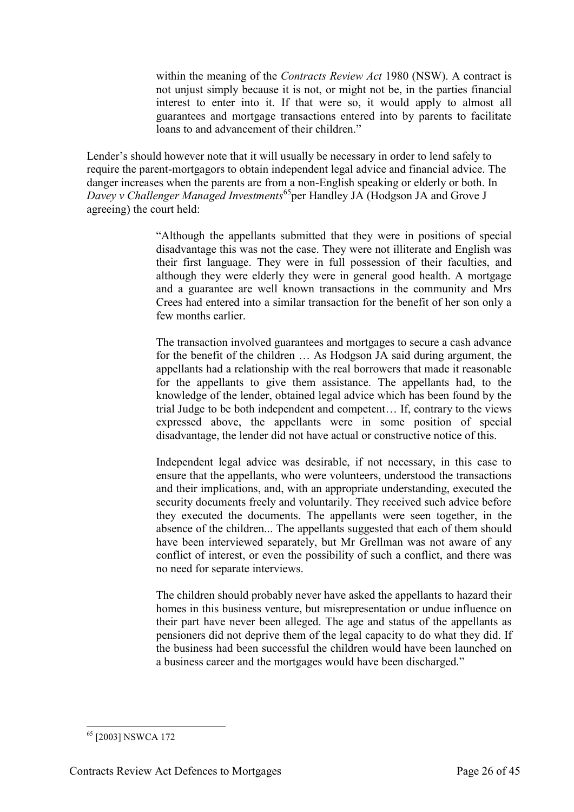within the meaning of the *Contracts Review Act* 1980 (NSW). A contract is not unjust simply because it is not, or might not be, in the parties financial interest to enter into it. If that were so, it would apply to almost all guarantees and mortgage transactions entered into by parents to facilitate loans to and advancement of their children."

Lender's should however note that it will usually be necessary in order to lend safely to require the parent-mortgagors to obtain independent legal advice and financial advice. The danger increases when the parents are from a non-English speaking or elderly or both. In *Davey v Challenger Managed Investments*<sup>65</sup>per Handley JA (Hodgson JA and Grove J agreeing) the court held:

> "Although the appellants submitted that they were in positions of special disadvantage this was not the case. They were not illiterate and English was their first language. They were in full possession of their faculties, and although they were elderly they were in general good health. A mortgage and a guarantee are well known transactions in the community and Mrs Crees had entered into a similar transaction for the benefit of her son only a few months earlier.

> The transaction involved guarantees and mortgages to secure a cash advance for the benefit of the children … As Hodgson JA said during argument, the appellants had a relationship with the real borrowers that made it reasonable for the appellants to give them assistance. The appellants had, to the knowledge of the lender, obtained legal advice which has been found by the trial Judge to be both independent and competent… If, contrary to the views expressed above, the appellants were in some position of special disadvantage, the lender did not have actual or constructive notice of this.

> Independent legal advice was desirable, if not necessary, in this case to ensure that the appellants, who were volunteers, understood the transactions and their implications, and, with an appropriate understanding, executed the security documents freely and voluntarily. They received such advice before they executed the documents. The appellants were seen together, in the absence of the children... The appellants suggested that each of them should have been interviewed separately, but Mr Grellman was not aware of any conflict of interest, or even the possibility of such a conflict, and there was no need for separate interviews.

> The children should probably never have asked the appellants to hazard their homes in this business venture, but misrepresentation or undue influence on their part have never been alleged. The age and status of the appellants as pensioners did not deprive them of the legal capacity to do what they did. If the business had been successful the children would have been launched on a business career and the mortgages would have been discharged."

<sup>-</sup><sup>65</sup> [2003] NSWCA 172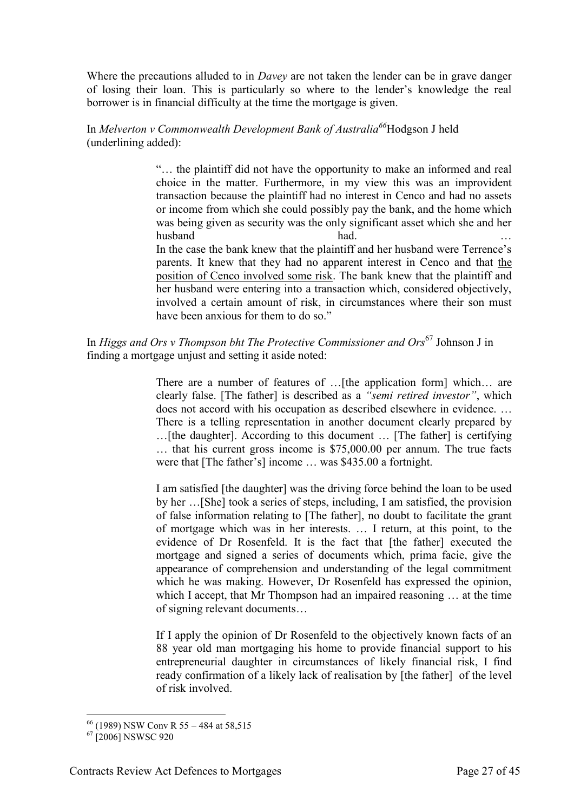Where the precautions alluded to in *Davey* are not taken the lender can be in grave danger of losing their loan. This is particularly so where to the lender's knowledge the real borrower is in financial difficulty at the time the mortgage is given.

#### In *Melverton v Commonwealth Development Bank of Australia<sup>66</sup>*Hodgson J held (underlining added):

"… the plaintiff did not have the opportunity to make an informed and real choice in the matter. Furthermore, in my view this was an improvident transaction because the plaintiff had no interest in Cenco and had no assets or income from which she could possibly pay the bank, and the home which was being given as security was the only significant asset which she and her husband had. had. In the case the bank knew that the plaintiff and her husband were Terrence's

parents. It knew that they had no apparent interest in Cenco and that the position of Cenco involved some risk. The bank knew that the plaintiff and her husband were entering into a transaction which, considered objectively, involved a certain amount of risk, in circumstances where their son must have been anxious for them to do so."

#### In *Higgs and Ors v Thompson bht The Protective Commissioner and Ors*<sup>67</sup> Johnson J in finding a mortgage unjust and setting it aside noted:

There are a number of features of ... [the application form] which... are clearly false. [The father] is described as a *"semi retired investor"*, which does not accord with his occupation as described elsewhere in evidence. … There is a telling representation in another document clearly prepared by …[the daughter]. According to this document … [The father] is certifying … that his current gross income is \$75,000.00 per annum. The true facts were that [The father's] income … was \$435.00 a fortnight.

I am satisfied [the daughter] was the driving force behind the loan to be used by her …[She] took a series of steps, including, I am satisfied, the provision of false information relating to [The father], no doubt to facilitate the grant of mortgage which was in her interests. … I return, at this point, to the evidence of Dr Rosenfeld. It is the fact that [the father] executed the mortgage and signed a series of documents which, prima facie, give the appearance of comprehension and understanding of the legal commitment which he was making. However, Dr Rosenfeld has expressed the opinion, which I accept, that Mr Thompson had an impaired reasoning … at the time of signing relevant documents…

If I apply the opinion of Dr Rosenfeld to the objectively known facts of an 88 year old man mortgaging his home to provide financial support to his entrepreneurial daughter in circumstances of likely financial risk, I find ready confirmation of a likely lack of realisation by [the father] of the level of risk involved.

<sup>66</sup> (1989) NSW Conv R 55 – 484 at 58,515

 $67$   $[2006]$  NSWSC 920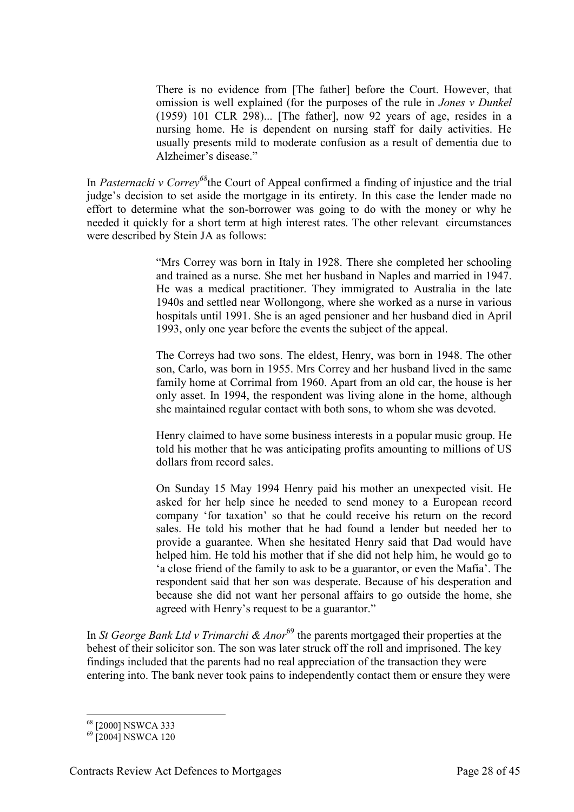There is no evidence from [The father] before the Court. However, that omission is well explained (for the purposes of the rule in *Jones v Dunkel*  (1959) 101 CLR 298)... [The father], now 92 years of age, resides in a nursing home. He is dependent on nursing staff for daily activities. He usually presents mild to moderate confusion as a result of dementia due to Alzheimer's disease."

In *Pasternacki v Correy<sup>68</sup>*the Court of Appeal confirmed a finding of injustice and the trial judge's decision to set aside the mortgage in its entirety. In this case the lender made no effort to determine what the son-borrower was going to do with the money or why he needed it quickly for a short term at high interest rates. The other relevant circumstances were described by Stein JA as follows:

> "Mrs Correy was born in Italy in 1928. There she completed her schooling and trained as a nurse. She met her husband in Naples and married in 1947. He was a medical practitioner. They immigrated to Australia in the late 1940s and settled near Wollongong, where she worked as a nurse in various hospitals until 1991. She is an aged pensioner and her husband died in April 1993, only one year before the events the subject of the appeal.

> The Correys had two sons. The eldest, Henry, was born in 1948. The other son, Carlo, was born in 1955. Mrs Correy and her husband lived in the same family home at Corrimal from 1960. Apart from an old car, the house is her only asset. In 1994, the respondent was living alone in the home, although she maintained regular contact with both sons, to whom she was devoted.

> Henry claimed to have some business interests in a popular music group. He told his mother that he was anticipating profits amounting to millions of US dollars from record sales

> On Sunday 15 May 1994 Henry paid his mother an unexpected visit. He asked for her help since he needed to send money to a European record company 'for taxation' so that he could receive his return on the record sales. He told his mother that he had found a lender but needed her to provide a guarantee. When she hesitated Henry said that Dad would have helped him. He told his mother that if she did not help him, he would go to 'a close friend of the family to ask to be a guarantor, or even the Mafia'. The respondent said that her son was desperate. Because of his desperation and because she did not want her personal affairs to go outside the home, she agreed with Henry's request to be a guarantor."

In *St George Bank Ltd v Trimarchi & Anor*<sup>69</sup> the parents mortgaged their properties at the behest of their solicitor son. The son was later struck off the roll and imprisoned. The key findings included that the parents had no real appreciation of the transaction they were entering into. The bank never took pains to independently contact them or ensure they were

<sup>-</sup><sup>68</sup> [2000] NSWCA 333

 $^{69}$  [2004] NSWCA 120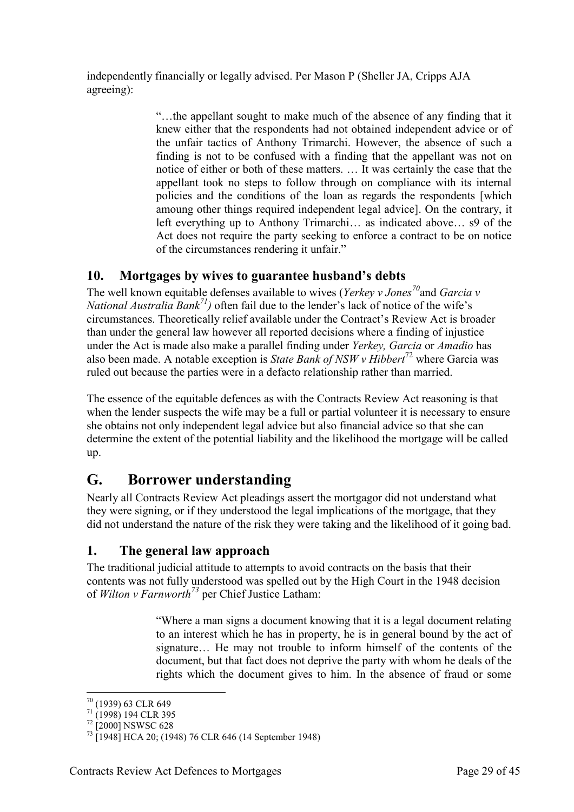independently financially or legally advised. Per Mason P (Sheller JA, Cripps AJA agreeing):

> "…the appellant sought to make much of the absence of any finding that it knew either that the respondents had not obtained independent advice or of the unfair tactics of Anthony Trimarchi. However, the absence of such a finding is not to be confused with a finding that the appellant was not on notice of either or both of these matters. … It was certainly the case that the appellant took no steps to follow through on compliance with its internal policies and the conditions of the loan as regards the respondents [which amoung other things required independent legal advice]. On the contrary, it left everything up to Anthony Trimarchi… as indicated above… s9 of the Act does not require the party seeking to enforce a contract to be on notice of the circumstances rendering it unfair."

# <span id="page-28-0"></span>**10. Mortgages by wives to guarantee husband's debts**

The well known equitable defenses available to wives (*Yerkey v Jones<sup>70</sup>*and *Garcia v National Australia Bank*<sup>71</sup>*)* often fail due to the lender's lack of notice of the wife's circumstances. Theoretically relief available under the Contract's Review Act is broader than under the general law however all reported decisions where a finding of injustice under the Act is made also make a parallel finding under *Yerkey, Garcia* or *Amadio* has also been made. A notable exception is *State Bank of NSW v Hibbert*<sup>72</sup> where Garcia was ruled out because the parties were in a defacto relationship rather than married.

The essence of the equitable defences as with the Contracts Review Act reasoning is that when the lender suspects the wife may be a full or partial volunteer it is necessary to ensure she obtains not only independent legal advice but also financial advice so that she can determine the extent of the potential liability and the likelihood the mortgage will be called up.

# <span id="page-28-1"></span>**G. Borrower understanding**

Nearly all Contracts Review Act pleadings assert the mortgagor did not understand what they were signing, or if they understood the legal implications of the mortgage, that they did not understand the nature of the risk they were taking and the likelihood of it going bad.

# <span id="page-28-2"></span>**1. The general law approach**

The traditional judicial attitude to attempts to avoid contracts on the basis that their contents was not fully understood was spelled out by the High Court in the 1948 decision of *Wilton v Farnworth<sup>73</sup>* per Chief Justice Latham:

> "Where a man signs a document knowing that it is a legal document relating to an interest which he has in property, he is in general bound by the act of signature… He may not trouble to inform himself of the contents of the document, but that fact does not deprive the party with whom he deals of the rights which the document gives to him. In the absence of fraud or some

<sup>70</sup> (1939) 63 CLR 649

<sup>71</sup> (1998) 194 CLR 395

<sup>72</sup> [2000] NSWSC 628

<sup>73</sup> [1948] HCA 20; (1948) 76 CLR 646 (14 September 1948)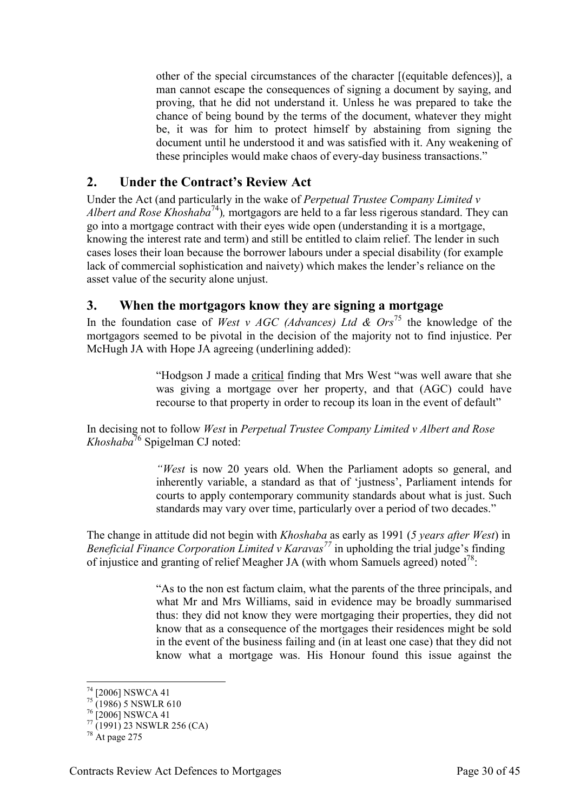other of the special circumstances of the character [(equitable defences)], a man cannot escape the consequences of signing a document by saying, and proving, that he did not understand it. Unless he was prepared to take the chance of being bound by the terms of the document, whatever they might be, it was for him to protect himself by abstaining from signing the document until he understood it and was satisfied with it. Any weakening of these principles would make chaos of every-day business transactions."

# <span id="page-29-0"></span>**2. Under the Contract's Review Act**

Under the Act (and particularly in the wake of *Perpetual Trustee Company Limited v Albert and Rose Khoshaba*<sup>74</sup>), mortgagors are held to a far less rigerous standard. They can go into a mortgage contract with their eyes wide open (understanding it is a mortgage, knowing the interest rate and term) and still be entitled to claim relief. The lender in such cases loses their loan because the borrower labours under a special disability (for example lack of commercial sophistication and naivety) which makes the lender's reliance on the asset value of the security alone unjust.

### <span id="page-29-1"></span>**3. When the mortgagors know they are signing a mortgage**

In the foundation case of *West v AGC (Advances) Ltd & Ors*<sup>75</sup> the knowledge of the mortgagors seemed to be pivotal in the decision of the majority not to find injustice. Per McHugh JA with Hope JA agreeing (underlining added):

> "Hodgson J made a critical finding that Mrs West "was well aware that she was giving a mortgage over her property, and that (AGC) could have recourse to that property in order to recoup its loan in the event of default"

In decising not to follow *West* in *Perpetual Trustee Company Limited v Albert and Rose Khoshaba*<sup>76</sup> Spigelman CJ noted:

> *"West* is now 20 years old. When the Parliament adopts so general, and inherently variable, a standard as that of 'justness', Parliament intends for courts to apply contemporary community standards about what is just. Such standards may vary over time, particularly over a period of two decades."

The change in attitude did not begin with *Khoshaba* as early as 1991 (*5 years after West*) in *Beneficial Finance Corporation Limited v Karavas<sup>77</sup>* in upholding the trial judge's finding of injustice and granting of relief Meagher JA (with whom Samuels agreed) noted<sup>78</sup>:

> "As to the non est factum claim, what the parents of the three principals, and what Mr and Mrs Williams, said in evidence may be broadly summarised thus: they did not know they were mortgaging their properties, they did not know that as a consequence of the mortgages their residences might be sold in the event of the business failing and (in at least one case) that they did not know what a mortgage was. His Honour found this issue against the

<sup>74</sup> [2006] NSWCA 41

 $^{75}$  (1986) 5 NSWLR 610

 $^{76}$  [2006] NSWCA 41

 $^{77}$  (1991) 23 NSWLR 256 (CA)

<sup>78</sup> At page 275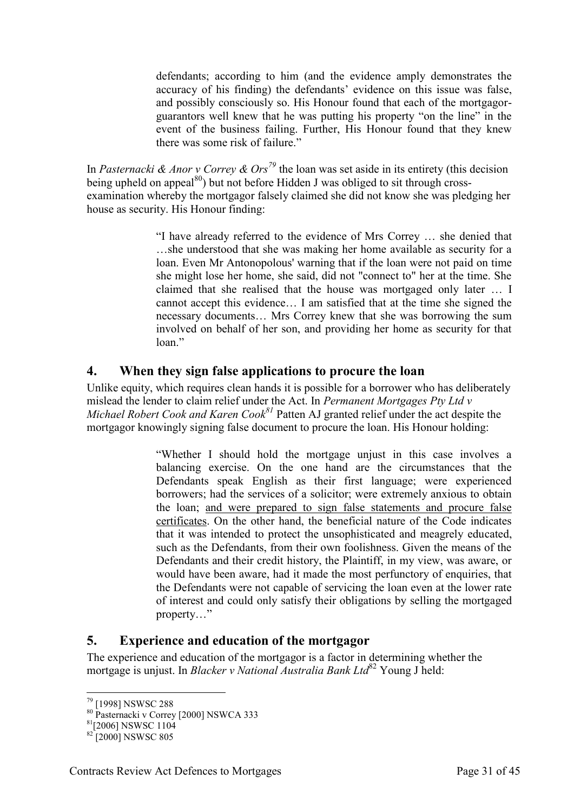defendants; according to him (and the evidence amply demonstrates the accuracy of his finding) the defendants' evidence on this issue was false, and possibly consciously so. His Honour found that each of the mortgagorguarantors well knew that he was putting his property "on the line" in the event of the business failing. Further, His Honour found that they knew there was some risk of failure."

In *Pasternacki & Anor v Correy & Ors<sup>79</sup>* the loan was set aside in its entirety (this decision being upheld on appeal<sup>80</sup>) but not before Hidden J was obliged to sit through crossexamination whereby the mortgagor falsely claimed she did not know she was pledging her house as security. His Honour finding:

> "I have already referred to the evidence of Mrs Correy … she denied that …she understood that she was making her home available as security for a loan. Even Mr Antonopolous' warning that if the loan were not paid on time she might lose her home, she said, did not "connect to" her at the time. She claimed that she realised that the house was mortgaged only later … I cannot accept this evidence… I am satisfied that at the time she signed the necessary documents… Mrs Correy knew that she was borrowing the sum involved on behalf of her son, and providing her home as security for that loan."

### <span id="page-30-0"></span>**4. When they sign false applications to procure the loan**

Unlike equity, which requires clean hands it is possible for a borrower who has deliberately mislead the lender to claim relief under the Act. In *Permanent Mortgages Pty Ltd v Michael Robert Cook and Karen Cook<sup>81</sup>* Patten AJ granted relief under the act despite the mortgagor knowingly signing false document to procure the loan. His Honour holding:

> "Whether I should hold the mortgage unjust in this case involves a balancing exercise. On the one hand are the circumstances that the Defendants speak English as their first language; were experienced borrowers; had the services of a solicitor; were extremely anxious to obtain the loan; and were prepared to sign false statements and procure false certificates. On the other hand, the beneficial nature of the Code indicates that it was intended to protect the unsophisticated and meagrely educated, such as the Defendants, from their own foolishness. Given the means of the Defendants and their credit history, the Plaintiff, in my view, was aware, or would have been aware, had it made the most perfunctory of enquiries, that the Defendants were not capable of servicing the loan even at the lower rate of interest and could only satisfy their obligations by selling the mortgaged property…"

# <span id="page-30-1"></span>**5. Experience and education of the mortgagor**

The experience and education of the mortgagor is a factor in determining whether the mortgage is unjust. In *Blacker v National Australia Bank Ltd*<sup>82</sup> Young J held:

<sup>-</sup><sup>79</sup> [1998] NSWSC 288

<sup>80</sup> Pasternacki v Correy [2000] NSWCA 333

<sup>81</sup>[2006] NSWSC 1104

 $82$  [2000] NSWSC 805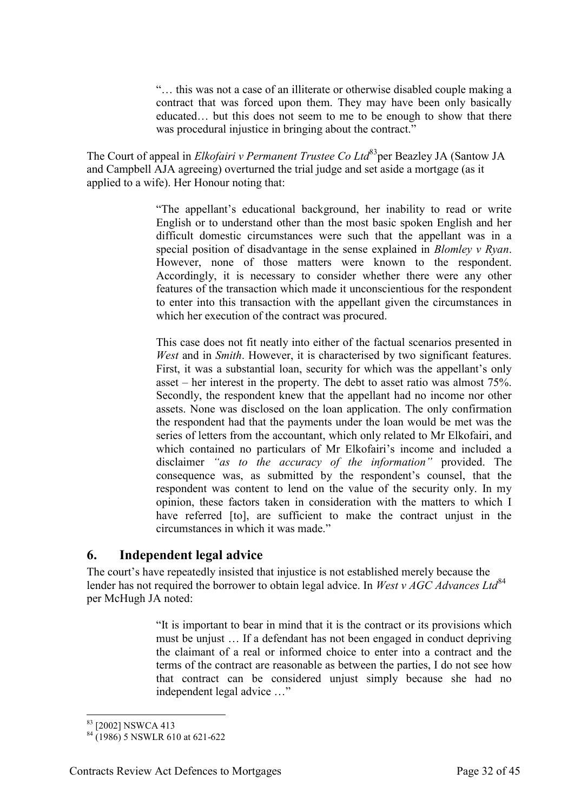"… this was not a case of an illiterate or otherwise disabled couple making a contract that was forced upon them. They may have been only basically educated… but this does not seem to me to be enough to show that there was procedural injustice in bringing about the contract."

The Court of appeal in *Elkofairi v Permanent Trustee Co Ltd*<sup>83</sup>per Beazley JA (Santow JA and Campbell AJA agreeing) overturned the trial judge and set aside a mortgage (as it applied to a wife). Her Honour noting that:

> "The appellant's educational background, her inability to read or write English or to understand other than the most basic spoken English and her difficult domestic circumstances were such that the appellant was in a special position of disadvantage in the sense explained in *Blomley v Ryan*. However, none of those matters were known to the respondent. Accordingly, it is necessary to consider whether there were any other features of the transaction which made it unconscientious for the respondent to enter into this transaction with the appellant given the circumstances in which her execution of the contract was procured.

> This case does not fit neatly into either of the factual scenarios presented in *West* and in *Smith*. However, it is characterised by two significant features. First, it was a substantial loan, security for which was the appellant's only asset – her interest in the property. The debt to asset ratio was almost 75%. Secondly, the respondent knew that the appellant had no income nor other assets. None was disclosed on the loan application. The only confirmation the respondent had that the payments under the loan would be met was the series of letters from the accountant, which only related to Mr Elkofairi, and which contained no particulars of Mr Elkofairi's income and included a disclaimer *"as to the accuracy of the information"* provided. The consequence was, as submitted by the respondent's counsel, that the respondent was content to lend on the value of the security only. In my opinion, these factors taken in consideration with the matters to which I have referred [to], are sufficient to make the contract unjust in the circumstances in which it was made."

#### <span id="page-31-0"></span>**6. Independent legal advice**

The court's have repeatedly insisted that injustice is not established merely because the lender has not required the borrower to obtain legal advice. In *West v AGC Advances Ltd*<sup>84</sup> per McHugh JA noted:

> "It is important to bear in mind that it is the contract or its provisions which must be unjust … If a defendant has not been engaged in conduct depriving the claimant of a real or informed choice to enter into a contract and the terms of the contract are reasonable as between the parties, I do not see how that contract can be considered unjust simply because she had no independent legal advice …"

<sup>-</sup><sup>83</sup> [2002] NSWCA 413

 $84 (1986)$  5 NSWLR 610 at 621-622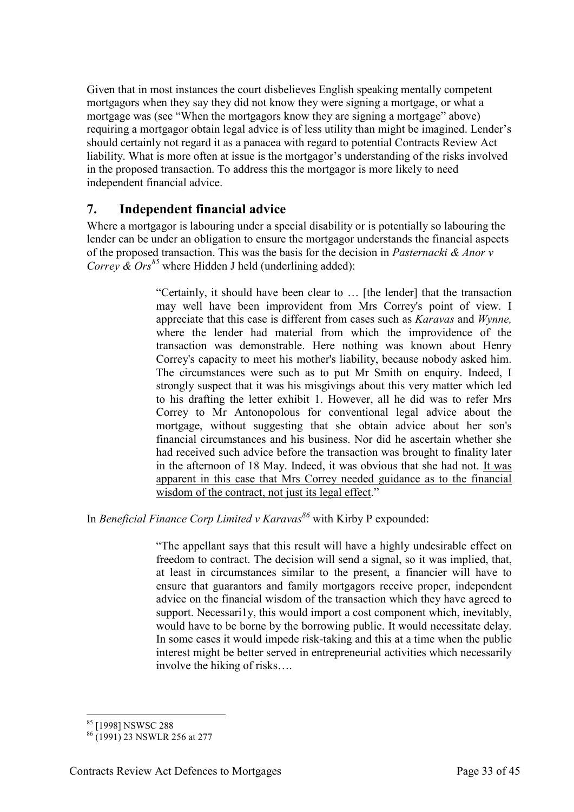Given that in most instances the court disbelieves English speaking mentally competent mortgagors when they say they did not know they were signing a mortgage, or what a mortgage was (see "When the mortgagors know they are signing a mortgage" above) requiring a mortgagor obtain legal advice is of less utility than might be imagined. Lender's should certainly not regard it as a panacea with regard to potential Contracts Review Act liability. What is more often at issue is the mortgagor's understanding of the risks involved in the proposed transaction. To address this the mortgagor is more likely to need independent financial advice.

# <span id="page-32-0"></span>**7. Independent financial advice**

Where a mortgagor is labouring under a special disability or is potentially so labouring the lender can be under an obligation to ensure the mortgagor understands the financial aspects of the proposed transaction. This was the basis for the decision in *Pasternacki & Anor v Correy & Ors<sup>85</sup>* where Hidden J held (underlining added):

> "Certainly, it should have been clear to … [the lender] that the transaction may well have been improvident from Mrs Correy's point of view. I appreciate that this case is different from cases such as *Karavas* and *Wynne,* where the lender had material from which the improvidence of the transaction was demonstrable. Here nothing was known about Henry Correy's capacity to meet his mother's liability, because nobody asked him. The circumstances were such as to put Mr Smith on enquiry. Indeed, I strongly suspect that it was his misgivings about this very matter which led to his drafting the letter exhibit 1. However, all he did was to refer Mrs Correy to Mr Antonopolous for conventional legal advice about the mortgage, without suggesting that she obtain advice about her son's financial circumstances and his business. Nor did he ascertain whether she had received such advice before the transaction was brought to finality later in the afternoon of 18 May. Indeed, it was obvious that she had not. It was apparent in this case that Mrs Correy needed guidance as to the financial wisdom of the contract, not just its legal effect."

In *Beneficial Finance Corp Limited v Karavas<sup>86</sup>* with Kirby P expounded:

"The appellant says that this result will have a highly undesirable effect on freedom to contract. The decision will send a signal, so it was implied, that, at least in circumstances similar to the present, a financier will have to ensure that guarantors and family mortgagors receive proper, independent advice on the financial wisdom of the transaction which they have agreed to support. Necessari1y, this would import a cost component which, inevitably, would have to be borne by the borrowing public. It would necessitate delay. In some cases it would impede risk-taking and this at a time when the public interest might be better served in entrepreneurial activities which necessarily involve the hiking of risks….

<sup>-</sup><sup>85</sup> [1998] NSWSC 288

<sup>86</sup> (1991) 23 NSWLR 256 at 277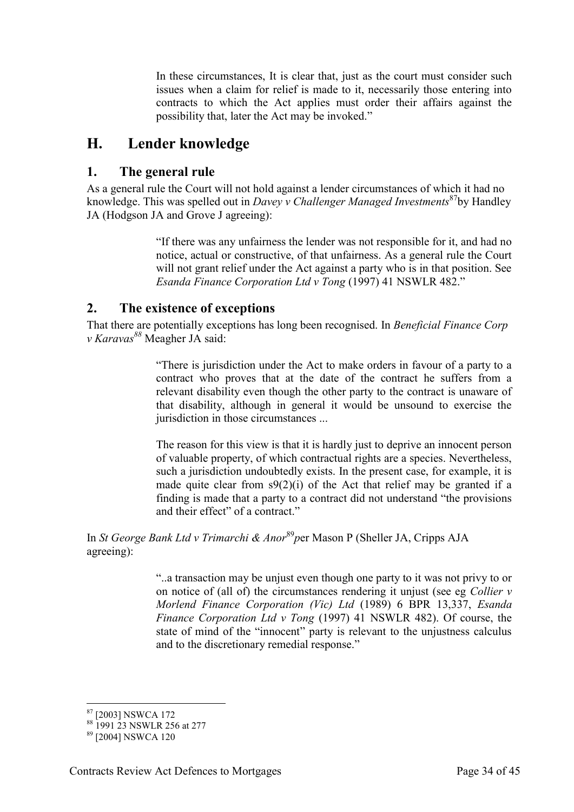In these circumstances, It is clear that, just as the court must consider such issues when a claim for relief is made to it, necessarily those entering into contracts to which the Act applies must order their affairs against the possibility that, later the Act may be invoked."

# <span id="page-33-0"></span>**H. Lender knowledge**

# <span id="page-33-1"></span>**1. The general rule**

As a general rule the Court will not hold against a lender circumstances of which it had no knowledge. This was spelled out in *Davey v Challenger Managed Investments*<sup>87</sup>by Handley JA (Hodgson JA and Grove J agreeing):

> "If there was any unfairness the lender was not responsible for it, and had no notice, actual or constructive, of that unfairness. As a general rule the Court will not grant relief under the Act against a party who is in that position. See *Esanda Finance Corporation Ltd v Tong* (1997) 41 NSWLR 482."

# <span id="page-33-2"></span>**2. The existence of exceptions**

That there are potentially exceptions has long been recognised. In *Beneficial Finance Corp v Karavas<sup>88</sup>* Meagher JA said:

> "There is jurisdiction under the Act to make orders in favour of a party to a contract who proves that at the date of the contract he suffers from a relevant disability even though the other party to the contract is unaware of that disability, although in general it would be unsound to exercise the jurisdiction in those circumstances ...

> The reason for this view is that it is hardly just to deprive an innocent person of valuable property, of which contractual rights are a species. Nevertheless, such a jurisdiction undoubtedly exists. In the present case, for example, it is made quite clear from  $s9(2)(i)$  of the Act that relief may be granted if a finding is made that a party to a contract did not understand "the provisions and their effect" of a contract."

In *St George Bank Ltd v Trimarchi & Anor*<sup>89</sup>per Mason P (Sheller JA, Cripps AJA agreeing):

> "..a transaction may be unjust even though one party to it was not privy to or on notice of (all of) the circumstances rendering it unjust (see eg *Collier v Morlend Finance Corporation (Vic) Ltd* (1989) 6 BPR 13,337, *Esanda Finance Corporation Ltd v Tong* (1997) 41 NSWLR 482). Of course, the state of mind of the "innocent" party is relevant to the unjustness calculus and to the discretionary remedial response."

<sup>-</sup><sup>87</sup> [2003] NSWCA 172

<sup>88</sup> 1991 23 NSWLR 256 at 277

<sup>89</sup> [2004] NSWCA 120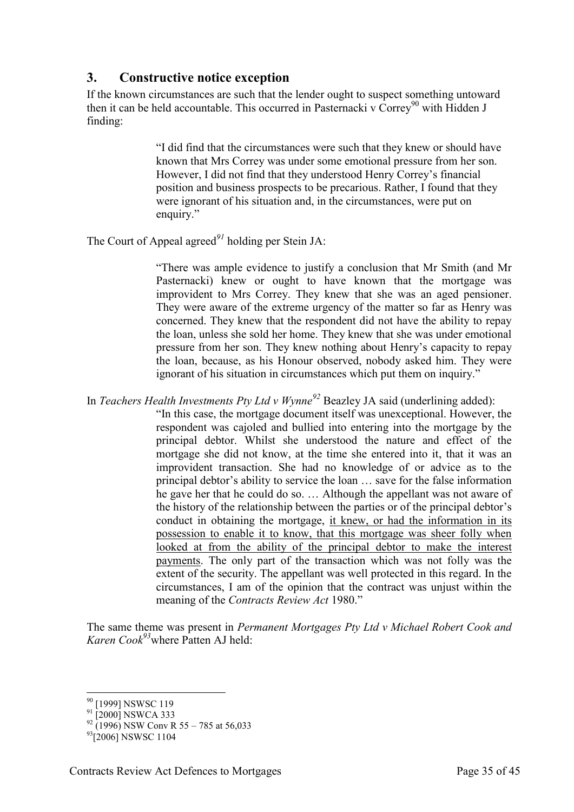# <span id="page-34-0"></span>**3. Constructive notice exception**

If the known circumstances are such that the lender ought to suspect something untoward then it can be held accountable. This occurred in Pasternacki v  $\text{Correv}^{90}$  with Hidden J finding:

> "I did find that the circumstances were such that they knew or should have known that Mrs Correy was under some emotional pressure from her son. However, I did not find that they understood Henry Correy's financial position and business prospects to be precarious. Rather, I found that they were ignorant of his situation and, in the circumstances, were put on enquiry."

The Court of Appeal agreed*<sup>91</sup>* holding per Stein JA:

"There was ample evidence to justify a conclusion that Mr Smith (and Mr Pasternacki) knew or ought to have known that the mortgage was improvident to Mrs Correy. They knew that she was an aged pensioner. They were aware of the extreme urgency of the matter so far as Henry was concerned. They knew that the respondent did not have the ability to repay the loan, unless she sold her home. They knew that she was under emotional pressure from her son. They knew nothing about Henry's capacity to repay the loan, because, as his Honour observed, nobody asked him. They were ignorant of his situation in circumstances which put them on inquiry."

In *Teachers Health Investments Pty Ltd v Wynne<sup>92</sup>* Beazley JA said (underlining added):

"In this case, the mortgage document itself was unexceptional. However, the respondent was cajoled and bullied into entering into the mortgage by the principal debtor. Whilst she understood the nature and effect of the mortgage she did not know, at the time she entered into it, that it was an improvident transaction. She had no knowledge of or advice as to the principal debtor's ability to service the loan … save for the false information he gave her that he could do so. … Although the appellant was not aware of the history of the relationship between the parties or of the principal debtor's conduct in obtaining the mortgage, it knew, or had the information in its possession to enable it to know, that this mortgage was sheer folly when looked at from the ability of the principal debtor to make the interest payments. The only part of the transaction which was not folly was the extent of the security. The appellant was well protected in this regard. In the circumstances, I am of the opinion that the contract was unjust within the meaning of the *Contracts Review Act* 1980."

The same theme was present in *Permanent Mortgages Pty Ltd v Michael Robert Cook and Karen Cook<sup>93</sup>*where Patten AJ held:

<sup>-</sup><sup>90</sup> [1999] NSWSC 119

 $91$ [2000] NSWCA 333

 $92$  (1996) NSW Conv R 55 – 785 at 56,033

<sup>&</sup>lt;sup>93</sup>[2006] NSWSC 1104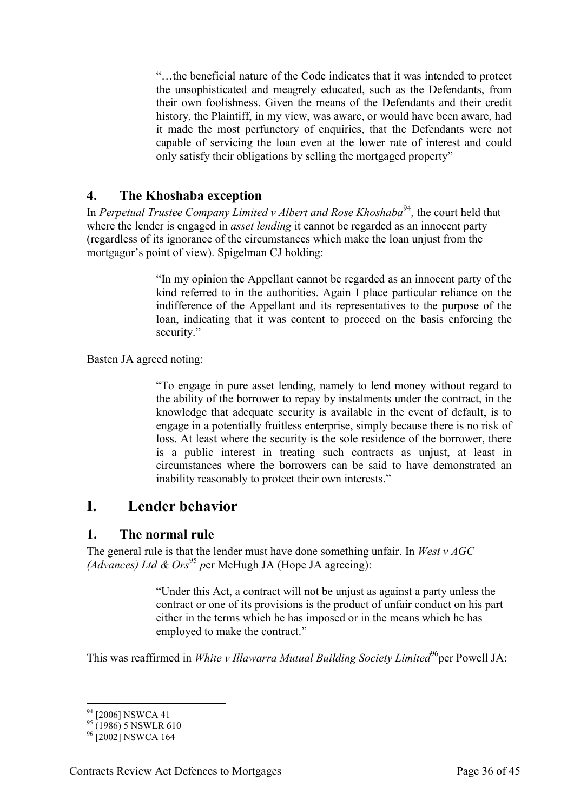"…the beneficial nature of the Code indicates that it was intended to protect the unsophisticated and meagrely educated, such as the Defendants, from their own foolishness. Given the means of the Defendants and their credit history, the Plaintiff, in my view, was aware, or would have been aware, had it made the most perfunctory of enquiries, that the Defendants were not capable of servicing the loan even at the lower rate of interest and could only satisfy their obligations by selling the mortgaged property"

### <span id="page-35-0"></span>**4. The Khoshaba exception**

In *Perpetual Trustee Company Limited v Albert and Rose Khoshaba<sup>94</sup>, the court held that* where the lender is engaged in *asset lending* it cannot be regarded as an innocent party (regardless of its ignorance of the circumstances which make the loan unjust from the mortgagor's point of view). Spigelman CJ holding:

> "In my opinion the Appellant cannot be regarded as an innocent party of the kind referred to in the authorities. Again I place particular reliance on the indifference of the Appellant and its representatives to the purpose of the loan, indicating that it was content to proceed on the basis enforcing the security."

Basten JA agreed noting:

"To engage in pure asset lending, namely to lend money without regard to the ability of the borrower to repay by instalments under the contract, in the knowledge that adequate security is available in the event of default, is to engage in a potentially fruitless enterprise, simply because there is no risk of loss. At least where the security is the sole residence of the borrower, there is a public interest in treating such contracts as unjust, at least in circumstances where the borrowers can be said to have demonstrated an inability reasonably to protect their own interests."

# <span id="page-35-1"></span>**I. Lender behavior**

#### <span id="page-35-2"></span>**1. The normal rule**

The general rule is that the lender must have done something unfair. In *West v AGC*  (Advances) Ltd & Ors<sup>95</sup> per McHugh JA (Hope JA agreeing):

> "Under this Act, a contract will not be unjust as against a party unless the contract or one of its provisions is the product of unfair conduct on his part either in the terms which he has imposed or in the means which he has employed to make the contract."

This was reaffirmed in *White v Illawarra Mutual Building Society Limited*<sup>96</sup>per Powell JA:

<sup>-</sup><sup>94</sup> [2006] NSWCA 41

 $^{95}$  (1986) 5 NSWLR 610

<sup>&</sup>lt;sup>96</sup> [2002] NSWCA 164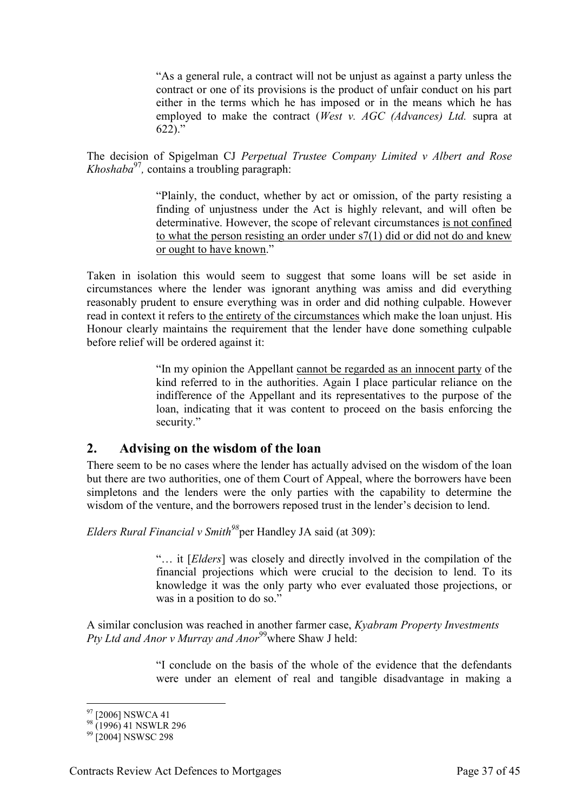"As a general rule, a contract will not be unjust as against a party unless the contract or one of its provisions is the product of unfair conduct on his part either in the terms which he has imposed or in the means which he has employed to make the contract (*West v. AGC (Advances) Ltd.* supra at  $622$ )."

The decision of Spigelman CJ *Perpetual Trustee Company Limited v Albert and Rose Khoshaba*<sup>97</sup> *,* contains a troubling paragraph:

> "Plainly, the conduct, whether by act or omission, of the party resisting a finding of unjustness under the Act is highly relevant, and will often be determinative. However, the scope of relevant circumstances is not confined to what the person resisting an order under s7(1) did or did not do and knew or ought to have known."

Taken in isolation this would seem to suggest that some loans will be set aside in circumstances where the lender was ignorant anything was amiss and did everything reasonably prudent to ensure everything was in order and did nothing culpable. However read in context it refers to the entirety of the circumstances which make the loan unjust. His Honour clearly maintains the requirement that the lender have done something culpable before relief will be ordered against it:

> "In my opinion the Appellant cannot be regarded as an innocent party of the kind referred to in the authorities. Again I place particular reliance on the indifference of the Appellant and its representatives to the purpose of the loan, indicating that it was content to proceed on the basis enforcing the security."

# <span id="page-36-0"></span>**2. Advising on the wisdom of the loan**

There seem to be no cases where the lender has actually advised on the wisdom of the loan but there are two authorities, one of them Court of Appeal, where the borrowers have been simpletons and the lenders were the only parties with the capability to determine the wisdom of the venture, and the borrowers reposed trust in the lender's decision to lend.

*Elders Rural Financial v Smith<sup>98</sup>*per Handley JA said (at 309):

"… it [*Elders*] was closely and directly involved in the compilation of the financial projections which were crucial to the decision to lend. To its knowledge it was the only party who ever evaluated those projections, or was in a position to do so."

A similar conclusion was reached in another farmer case, *Kyabram Property Investments Pty Ltd and Anor v Murray and Anor*<sup>99</sup>where Shaw J held:

> "I conclude on the basis of the whole of the evidence that the defendants were under an element of real and tangible disadvantage in making a

<sup>-</sup><sup>97</sup> [2006] NSWCA 41

 $^{98}$  (1996) 41 NSWLR 296

<sup>&</sup>lt;sup>99</sup> [2004] NSWSC 298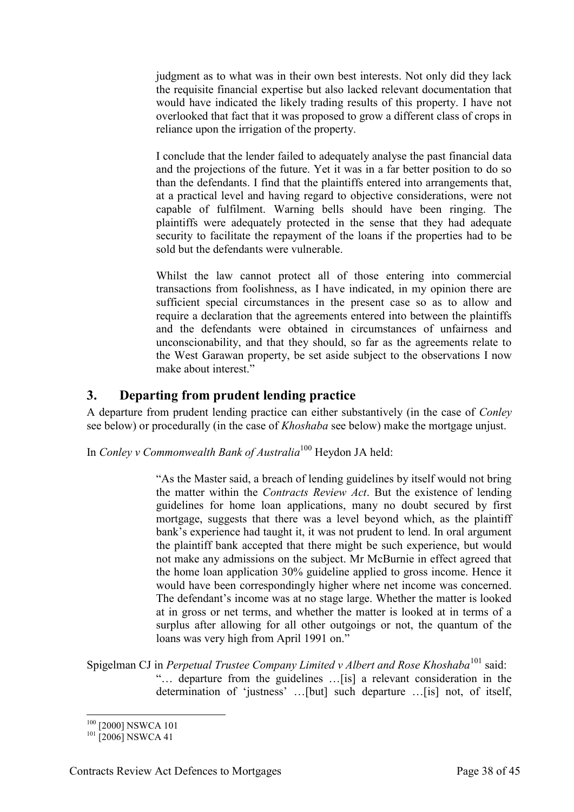judgment as to what was in their own best interests. Not only did they lack the requisite financial expertise but also lacked relevant documentation that would have indicated the likely trading results of this property. I have not overlooked that fact that it was proposed to grow a different class of crops in reliance upon the irrigation of the property.

I conclude that the lender failed to adequately analyse the past financial data and the projections of the future. Yet it was in a far better position to do so than the defendants. I find that the plaintiffs entered into arrangements that, at a practical level and having regard to objective considerations, were not capable of fulfilment. Warning bells should have been ringing. The plaintiffs were adequately protected in the sense that they had adequate security to facilitate the repayment of the loans if the properties had to be sold but the defendants were vulnerable.

Whilst the law cannot protect all of those entering into commercial transactions from foolishness, as I have indicated, in my opinion there are sufficient special circumstances in the present case so as to allow and require a declaration that the agreements entered into between the plaintiffs and the defendants were obtained in circumstances of unfairness and unconscionability, and that they should, so far as the agreements relate to the West Garawan property, be set aside subject to the observations I now make about interest."

# <span id="page-37-0"></span>**3. Departing from prudent lending practice**

A departure from prudent lending practice can either substantively (in the case of *Conley* see below) or procedurally (in the case of *Khoshaba* see below) make the mortgage unjust.

In *Conley v Commonwealth Bank of Australia*<sup>100</sup> Heydon JA held:

"As the Master said, a breach of lending guidelines by itself would not bring the matter within the *Contracts Review Act*. But the existence of lending guidelines for home loan applications, many no doubt secured by first mortgage, suggests that there was a level beyond which, as the plaintiff bank's experience had taught it, it was not prudent to lend. In oral argument the plaintiff bank accepted that there might be such experience, but would not make any admissions on the subject. Mr McBurnie in effect agreed that the home loan application 30% guideline applied to gross income. Hence it would have been correspondingly higher where net income was concerned. The defendant's income was at no stage large. Whether the matter is looked at in gross or net terms, and whether the matter is looked at in terms of a surplus after allowing for all other outgoings or not, the quantum of the loans was very high from April 1991 on."

Spigelman CJ in *Perpetual Trustee Company Limited v Albert and Rose Khoshaba*<sup>101</sup> said: "… departure from the guidelines …[is] a relevant consideration in the determination of 'justness' …[but] such departure …[is] not, of itself,

<sup>100</sup> [2000] NSWCA 101

 $101$  [2006] NSWCA 41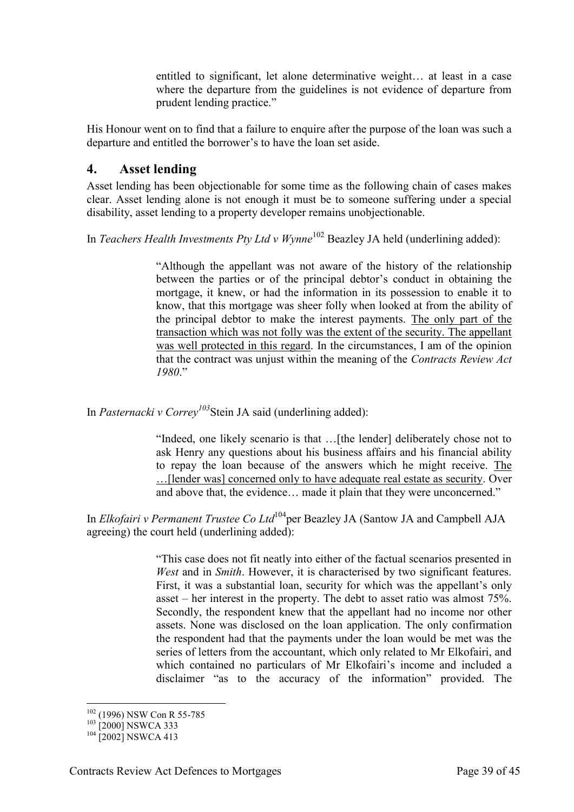entitled to significant, let alone determinative weight… at least in a case where the departure from the guidelines is not evidence of departure from prudent lending practice."

His Honour went on to find that a failure to enquire after the purpose of the loan was such a departure and entitled the borrower's to have the loan set aside.

#### <span id="page-38-0"></span>**4. Asset lending**

Asset lending has been objectionable for some time as the following chain of cases makes clear. Asset lending alone is not enough it must be to someone suffering under a special disability, asset lending to a property developer remains unobjectionable.

In *Teachers Health Investments Pty Ltd v Wynne*<sup>102</sup> Beazley JA held (underlining added):

"Although the appellant was not aware of the history of the relationship between the parties or of the principal debtor's conduct in obtaining the mortgage, it knew, or had the information in its possession to enable it to know, that this mortgage was sheer folly when looked at from the ability of the principal debtor to make the interest payments. The only part of the transaction which was not folly was the extent of the security. The appellant was well protected in this regard. In the circumstances, I am of the opinion that the contract was unjust within the meaning of the *Contracts Review Act 1980*."

In *Pasternacki v Correy<sup>103</sup>*Stein JA said (underlining added):

"Indeed, one likely scenario is that …[the lender] deliberately chose not to ask Henry any questions about his business affairs and his financial ability to repay the loan because of the answers which he might receive. The …[lender was] concerned only to have adequate real estate as security. Over and above that, the evidence… made it plain that they were unconcerned."

In *Elkofairi v Permanent Trustee Co Ltd*<sup>104</sup>per Beazley JA (Santow JA and Campbell AJA agreeing) the court held (underlining added):

> "This case does not fit neatly into either of the factual scenarios presented in *West* and in *Smith*. However, it is characterised by two significant features. First, it was a substantial loan, security for which was the appellant's only asset – her interest in the property. The debt to asset ratio was almost 75%. Secondly, the respondent knew that the appellant had no income nor other assets. None was disclosed on the loan application. The only confirmation the respondent had that the payments under the loan would be met was the series of letters from the accountant, which only related to Mr Elkofairi, and which contained no particulars of Mr Elkofairi's income and included a disclaimer "as to the accuracy of the information" provided. The

<sup>-</sup><sup>102</sup> (1996) NSW Con R 55-785

<sup>&</sup>lt;sup>103</sup> [2000] NSWCA 333

<sup>&</sup>lt;sup>104</sup> [2002] NSWCA 413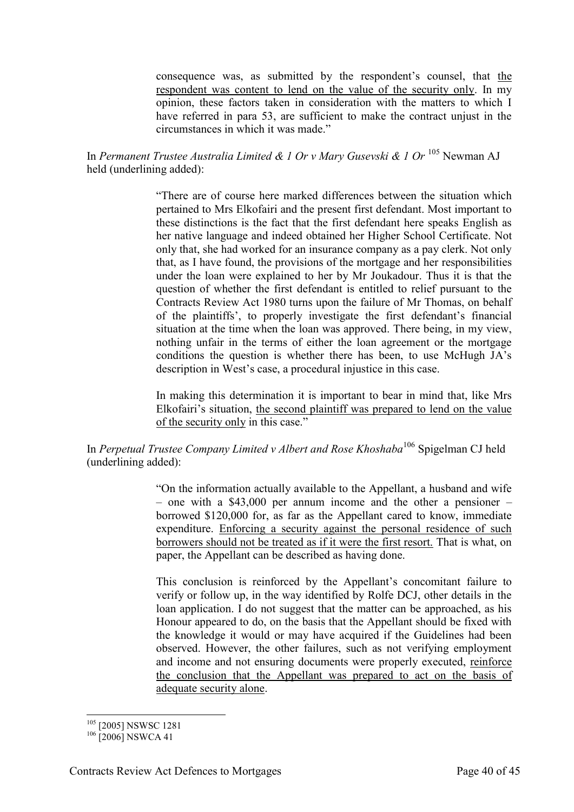consequence was, as submitted by the respondent's counsel, that the respondent was content to lend on the value of the security only. In my opinion, these factors taken in consideration with the matters to which I have referred in para 53, are sufficient to make the contract unjust in the circumstances in which it was made."

In *Permanent Trustee Australia Limited & 1 Or v Mary Gusevski & 1 Or* <sup>105</sup> Newman AJ held (underlining added):

> "There are of course here marked differences between the situation which pertained to Mrs Elkofairi and the present first defendant. Most important to these distinctions is the fact that the first defendant here speaks English as her native language and indeed obtained her Higher School Certificate. Not only that, she had worked for an insurance company as a pay clerk. Not only that, as I have found, the provisions of the mortgage and her responsibilities under the loan were explained to her by Mr Joukadour. Thus it is that the question of whether the first defendant is entitled to relief pursuant to the Contracts Review Act 1980 turns upon the failure of Mr Thomas, on behalf of the plaintiffs', to properly investigate the first defendant's financial situation at the time when the loan was approved. There being, in my view, nothing unfair in the terms of either the loan agreement or the mortgage conditions the question is whether there has been, to use McHugh JA's description in West's case, a procedural injustice in this case.

> In making this determination it is important to bear in mind that, like Mrs Elkofairi's situation, the second plaintiff was prepared to lend on the value of the security only in this case."

In *Perpetual Trustee Company Limited v Albert and Rose Khoshaba*<sup>106</sup> Spigelman CJ held (underlining added):

> "On the information actually available to the Appellant, a husband and wife – one with a \$43,000 per annum income and the other a pensioner – borrowed \$120,000 for, as far as the Appellant cared to know, immediate expenditure. Enforcing a security against the personal residence of such borrowers should not be treated as if it were the first resort. That is what, on paper, the Appellant can be described as having done.

> This conclusion is reinforced by the Appellant's concomitant failure to verify or follow up, in the way identified by Rolfe DCJ, other details in the loan application. I do not suggest that the matter can be approached, as his Honour appeared to do, on the basis that the Appellant should be fixed with the knowledge it would or may have acquired if the Guidelines had been observed. However, the other failures, such as not verifying employment and income and not ensuring documents were properly executed, reinforce the conclusion that the Appellant was prepared to act on the basis of adequate security alone.

<sup>-</sup><sup>105</sup> [2005] NSWSC 1281

 $106$  [2006] NSWCA 41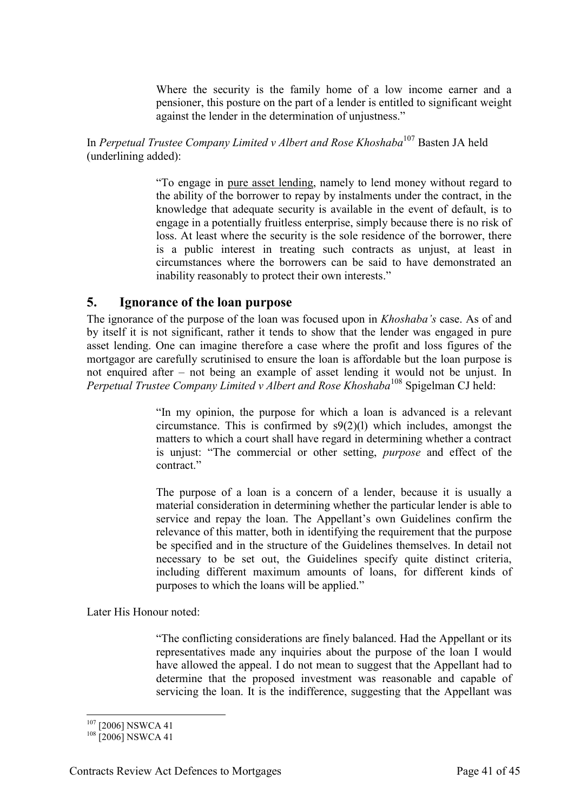Where the security is the family home of a low income earner and a pensioner, this posture on the part of a lender is entitled to significant weight against the lender in the determination of unjustness."

In *Perpetual Trustee Company Limited v Albert and Rose Khoshaba*<sup>107</sup> Basten JA held (underlining added):

> "To engage in pure asset lending, namely to lend money without regard to the ability of the borrower to repay by instalments under the contract, in the knowledge that adequate security is available in the event of default, is to engage in a potentially fruitless enterprise, simply because there is no risk of loss. At least where the security is the sole residence of the borrower, there is a public interest in treating such contracts as unjust, at least in circumstances where the borrowers can be said to have demonstrated an inability reasonably to protect their own interests."

#### <span id="page-40-0"></span>**5. Ignorance of the loan purpose**

The ignorance of the purpose of the loan was focused upon in *Khoshaba's* case. As of and by itself it is not significant, rather it tends to show that the lender was engaged in pure asset lending. One can imagine therefore a case where the profit and loss figures of the mortgagor are carefully scrutinised to ensure the loan is affordable but the loan purpose is not enquired after – not being an example of asset lending it would not be unjust. In *Perpetual Trustee Company Limited v Albert and Rose Khoshaba*<sup>108</sup> Spigelman CJ held:

> "In my opinion, the purpose for which a loan is advanced is a relevant circumstance. This is confirmed by s9(2)(l) which includes, amongst the matters to which a court shall have regard in determining whether a contract is unjust: "The commercial or other setting, *purpose* and effect of the contract<sup>"</sup>

> The purpose of a loan is a concern of a lender, because it is usually a material consideration in determining whether the particular lender is able to service and repay the loan. The Appellant's own Guidelines confirm the relevance of this matter, both in identifying the requirement that the purpose be specified and in the structure of the Guidelines themselves. In detail not necessary to be set out, the Guidelines specify quite distinct criteria, including different maximum amounts of loans, for different kinds of purposes to which the loans will be applied."

Later His Honour noted:

"The conflicting considerations are finely balanced. Had the Appellant or its representatives made any inquiries about the purpose of the loan I would have allowed the appeal. I do not mean to suggest that the Appellant had to determine that the proposed investment was reasonable and capable of servicing the loan. It is the indifference, suggesting that the Appellant was

<sup>107</sup> [2006] NSWCA 41

<sup>&</sup>lt;sup>108</sup> [2006] NSWCA 41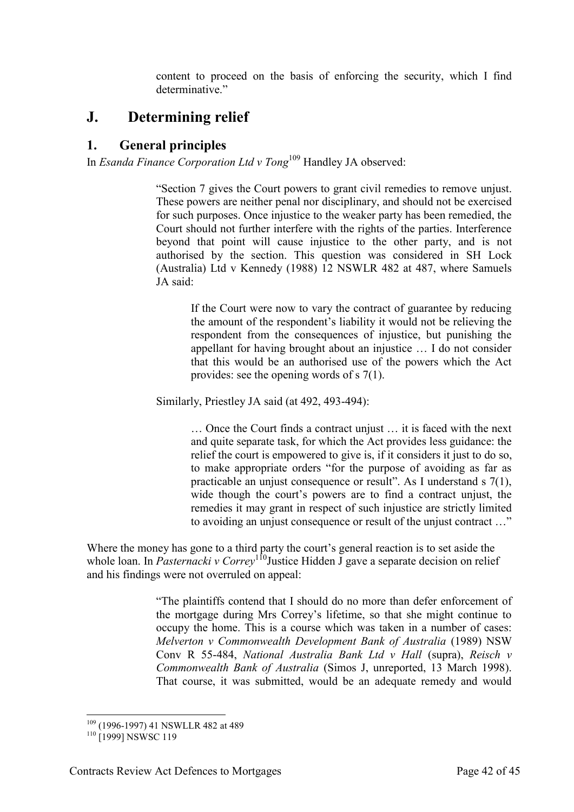content to proceed on the basis of enforcing the security, which I find determinative."

# <span id="page-41-0"></span>**J. Determining relief**

# <span id="page-41-1"></span>**1. General principles**

In *Esanda Finance Corporation Ltd v Tong*<sup>109</sup> Handley JA observed:

"Section 7 gives the Court powers to grant civil remedies to remove unjust. These powers are neither penal nor disciplinary, and should not be exercised for such purposes. Once injustice to the weaker party has been remedied, the Court should not further interfere with the rights of the parties. Interference beyond that point will cause injustice to the other party, and is not authorised by the section. This question was considered in SH Lock (Australia) Ltd v Kennedy (1988) 12 NSWLR 482 at 487, where Samuels JA said:

> If the Court were now to vary the contract of guarantee by reducing the amount of the respondent's liability it would not be relieving the respondent from the consequences of injustice, but punishing the appellant for having brought about an injustice … I do not consider that this would be an authorised use of the powers which the Act provides: see the opening words of s 7(1).

Similarly, Priestley JA said (at 492, 493-494):

… Once the Court finds a contract unjust … it is faced with the next and quite separate task, for which the Act provides less guidance: the relief the court is empowered to give is, if it considers it just to do so, to make appropriate orders "for the purpose of avoiding as far as practicable an unjust consequence or result". As I understand s  $7(1)$ , wide though the court's powers are to find a contract unjust, the remedies it may grant in respect of such injustice are strictly limited to avoiding an unjust consequence or result of the unjust contract …"

Where the money has gone to a third party the court's general reaction is to set aside the whole loan. In *Pasternacki v Correy*<sup>110</sup>Justice Hidden J gave a separate decision on relief and his findings were not overruled on appeal:

> "The plaintiffs contend that I should do no more than defer enforcement of the mortgage during Mrs Correy's lifetime, so that she might continue to occupy the home. This is a course which was taken in a number of cases: *Melverton v Commonwealth Development Bank of Australia* (1989) NSW Conv R 55-484, *National Australia Bank Ltd v Hall* (supra), *Reisch v Commonwealth Bank of Australia* (Simos J, unreported, 13 March 1998). That course, it was submitted, would be an adequate remedy and would

<sup>-</sup><sup>109</sup> (1996-1997) 41 NSWLLR 482 at 489

<sup>&</sup>lt;sup>110</sup> [1999] NSWSC 119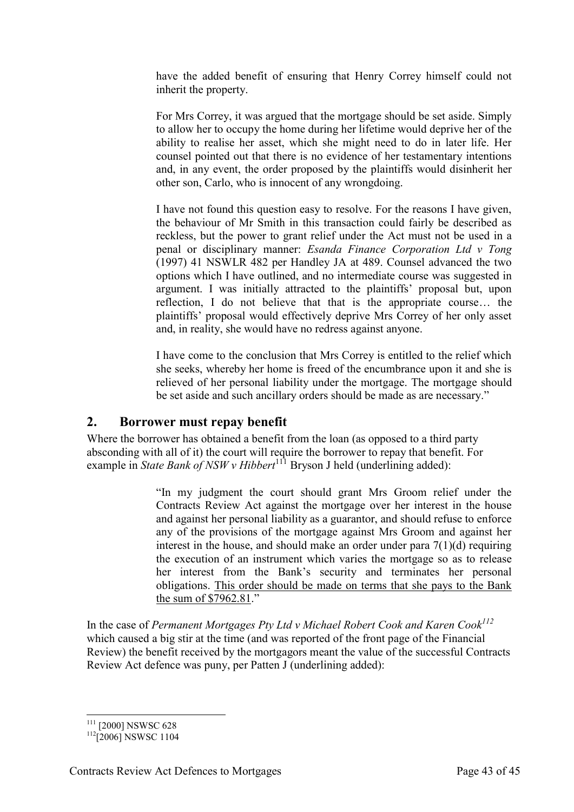have the added benefit of ensuring that Henry Correy himself could not inherit the property.

For Mrs Correy, it was argued that the mortgage should be set aside. Simply to allow her to occupy the home during her lifetime would deprive her of the ability to realise her asset, which she might need to do in later life. Her counsel pointed out that there is no evidence of her testamentary intentions and, in any event, the order proposed by the plaintiffs would disinherit her other son, Carlo, who is innocent of any wrongdoing.

I have not found this question easy to resolve. For the reasons I have given, the behaviour of Mr Smith in this transaction could fairly be described as reckless, but the power to grant relief under the Act must not be used in a penal or disciplinary manner: *Esanda Finance Corporation Ltd v Tong* (1997) 41 NSWLR 482 per Handley JA at 489. Counsel advanced the two options which I have outlined, and no intermediate course was suggested in argument. I was initially attracted to the plaintiffs' proposal but, upon reflection, I do not believe that that is the appropriate course… the plaintiffs' proposal would effectively deprive Mrs Correy of her only asset and, in reality, she would have no redress against anyone.

I have come to the conclusion that Mrs Correy is entitled to the relief which she seeks, whereby her home is freed of the encumbrance upon it and she is relieved of her personal liability under the mortgage. The mortgage should be set aside and such ancillary orders should be made as are necessary."

#### <span id="page-42-0"></span>**2. Borrower must repay benefit**

Where the borrower has obtained a benefit from the loan (as opposed to a third party absconding with all of it) the court will require the borrower to repay that benefit. For example in *State Bank of NSW v Hibbert*<sup>111</sup> Bryson J held (underlining added):

> "In my judgment the court should grant Mrs Groom relief under the Contracts Review Act against the mortgage over her interest in the house and against her personal liability as a guarantor, and should refuse to enforce any of the provisions of the mortgage against Mrs Groom and against her interest in the house, and should make an order under para  $7(1)(d)$  requiring the execution of an instrument which varies the mortgage so as to release her interest from the Bank's security and terminates her personal obligations. This order should be made on terms that she pays to the Bank the sum of \$7962.81."

In the case of *Permanent Mortgages Pty Ltd v Michael Robert Cook and Karen Cook<sup>112</sup>* which caused a big stir at the time (and was reported of the front page of the Financial Review) the benefit received by the mortgagors meant the value of the successful Contracts Review Act defence was puny, per Patten J (underlining added):

<sup>-</sup><sup>111</sup> [2000] NSWSC 628

 $112$ [2006] NSWSC 1104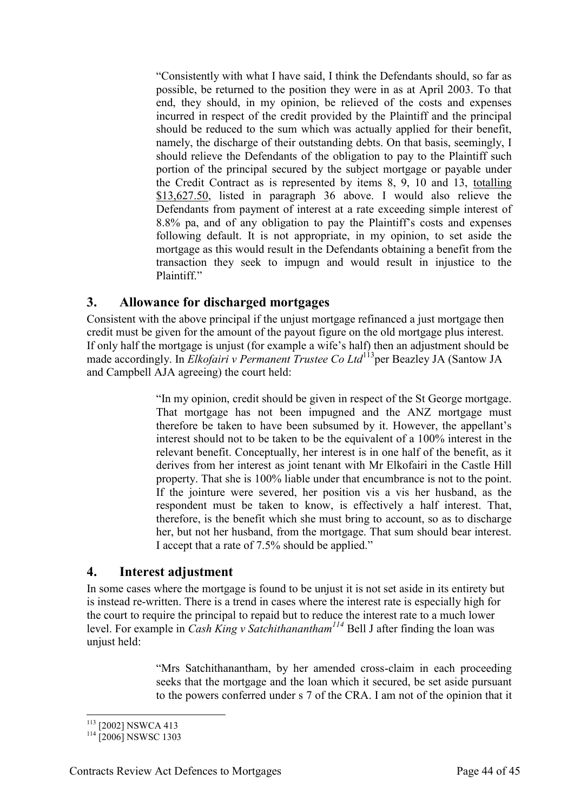"Consistently with what I have said, I think the Defendants should, so far as possible, be returned to the position they were in as at April 2003. To that end, they should, in my opinion, be relieved of the costs and expenses incurred in respect of the credit provided by the Plaintiff and the principal should be reduced to the sum which was actually applied for their benefit, namely, the discharge of their outstanding debts. On that basis, seemingly, I should relieve the Defendants of the obligation to pay to the Plaintiff such portion of the principal secured by the subject mortgage or payable under the Credit Contract as is represented by items 8, 9, 10 and 13, totalling \$13,627.50, listed in paragraph 36 above. I would also relieve the Defendants from payment of interest at a rate exceeding simple interest of 8.8% pa, and of any obligation to pay the Plaintiff's costs and expenses following default. It is not appropriate, in my opinion, to set aside the mortgage as this would result in the Defendants obtaining a benefit from the transaction they seek to impugn and would result in injustice to the Plaintiff."

### <span id="page-43-0"></span>**3. Allowance for discharged mortgages**

Consistent with the above principal if the unjust mortgage refinanced a just mortgage then credit must be given for the amount of the payout figure on the old mortgage plus interest. If only half the mortgage is unjust (for example a wife's half) then an adjustment should be made accordingly. In *Elkofairi v Permanent Trustee Co Ltd*<sup>113</sup>per Beazley JA (Santow JA) and Campbell AJA agreeing) the court held:

> "In my opinion, credit should be given in respect of the St George mortgage. That mortgage has not been impugned and the ANZ mortgage must therefore be taken to have been subsumed by it. However, the appellant's interest should not to be taken to be the equivalent of a 100% interest in the relevant benefit. Conceptually, her interest is in one half of the benefit, as it derives from her interest as joint tenant with Mr Elkofairi in the Castle Hill property. That she is 100% liable under that encumbrance is not to the point. If the jointure were severed, her position vis a vis her husband, as the respondent must be taken to know, is effectively a half interest. That, therefore, is the benefit which she must bring to account, so as to discharge her, but not her husband, from the mortgage. That sum should bear interest. I accept that a rate of 7.5% should be applied."

#### <span id="page-43-1"></span>**4. Interest adjustment**

In some cases where the mortgage is found to be unjust it is not set aside in its entirety but is instead re-written. There is a trend in cases where the interest rate is especially high for the court to require the principal to repaid but to reduce the interest rate to a much lower level. For example in *Cash King v Satchithanantham<sup>114</sup>* Bell J after finding the loan was unjust held:

> "Mrs Satchithanantham, by her amended cross-claim in each proceeding seeks that the mortgage and the loan which it secured, be set aside pursuant to the powers conferred under s 7 of the CRA. I am not of the opinion that it

<sup>-</sup><sup>113</sup> [2002] NSWCA 413

<sup>&</sup>lt;sup>114</sup> [2006] NSWSC 1303